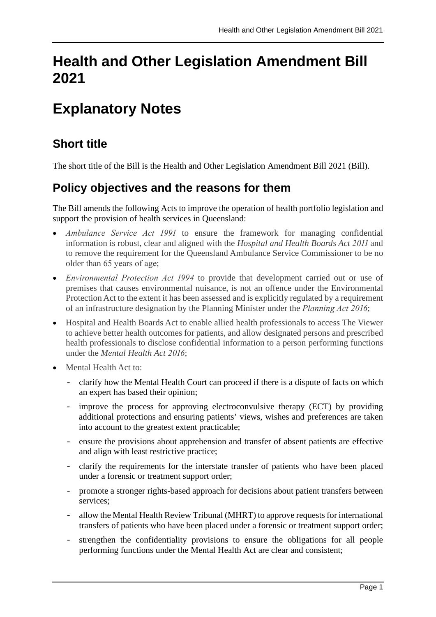# **Health and Other Legislation Amendment Bill 2021**

# **Explanatory Notes**

## **Short title**

The short title of the Bill is the Health and Other Legislation Amendment Bill 2021 (Bill).

## **Policy objectives and the reasons for them**

The Bill amends the following Acts to improve the operation of health portfolio legislation and support the provision of health services in Queensland:

- *Ambulance Service Act 1991* to ensure the framework for managing confidential information is robust, clear and aligned with the *Hospital and Health Boards Act 2011* and to remove the requirement for the Queensland Ambulance Service Commissioner to be no older than 65 years of age;
- *Environmental Protection Act 1994* to provide that development carried out or use of premises that causes environmental nuisance, is not an offence under the Environmental Protection Act to the extent it has been assessed and is explicitly regulated by a requirement of an infrastructure designation by the Planning Minister under the *Planning Act 2016*;
- Hospital and Health Boards Act to enable allied health professionals to access The Viewer to achieve better health outcomes for patients, and allow designated persons and prescribed health professionals to disclose confidential information to a person performing functions under the *Mental Health Act 2016*;
- Mental Health Act to:
	- clarify how the Mental Health Court can proceed if there is a dispute of facts on which an expert has based their opinion;
	- improve the process for approving electroconvulsive therapy (ECT) by providing additional protections and ensuring patients' views, wishes and preferences are taken into account to the greatest extent practicable;
	- ensure the provisions about apprehension and transfer of absent patients are effective and align with least restrictive practice;
	- clarify the requirements for the interstate transfer of patients who have been placed under a forensic or treatment support order;
	- promote a stronger rights-based approach for decisions about patient transfers between services;
	- allow the Mental Health Review Tribunal (MHRT) to approve requests for international transfers of patients who have been placed under a forensic or treatment support order;
	- strengthen the confidentiality provisions to ensure the obligations for all people performing functions under the Mental Health Act are clear and consistent;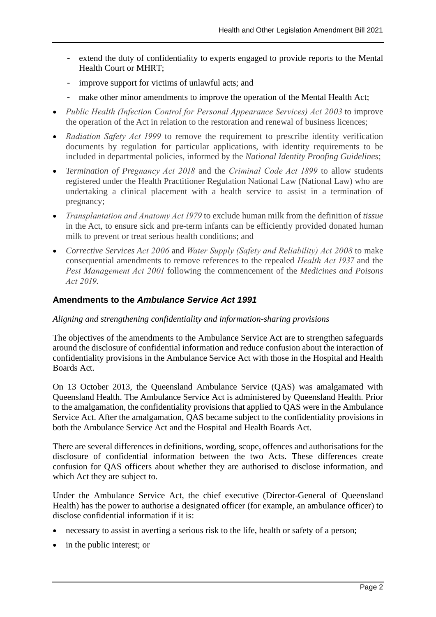- extend the duty of confidentiality to experts engaged to provide reports to the Mental Health Court or MHRT;
- improve support for victims of unlawful acts; and
- make other minor amendments to improve the operation of the Mental Health Act;
- *Public Health (Infection Control for Personal Appearance Services) Act 2003* to improve the operation of the Act in relation to the restoration and renewal of business licences;
- *Radiation Safety Act 1999* to remove the requirement to prescribe identity verification documents by regulation for particular applications, with identity requirements to be included in departmental policies, informed by the *National Identity Proofing Guidelines*;
- *Termination of Pregnancy Act 2018* and the *Criminal Code Act 1899* to allow students registered under the Health Practitioner Regulation National Law (National Law) who are undertaking a clinical placement with a health service to assist in a termination of pregnancy;
- *Transplantation and Anatomy Act 1979* to exclude human milk from the definition of *tissue* in the Act, to ensure sick and pre-term infants can be efficiently provided donated human milk to prevent or treat serious health conditions; and
- *Corrective Services Act 2006* and *Water Supply (Safety and Reliability) Act 2008* to make consequential amendments to remove references to the repealed *Health Act 1937* and the *Pest Management Act 2001* following the commencement of the *Medicines and Poisons Act 2019.*

## **Amendments to the** *Ambulance Service Act 1991*

### *Aligning and strengthening confidentiality and information-sharing provisions*

The objectives of the amendments to the Ambulance Service Act are to strengthen safeguards around the disclosure of confidential information and reduce confusion about the interaction of confidentiality provisions in the Ambulance Service Act with those in the Hospital and Health Boards Act.

On 13 October 2013, the Queensland Ambulance Service (QAS) was amalgamated with Queensland Health. The Ambulance Service Act is administered by Queensland Health. Prior to the amalgamation, the confidentiality provisions that applied to QAS were in the Ambulance Service Act. After the amalgamation, QAS became subject to the confidentiality provisions in both the Ambulance Service Act and the Hospital and Health Boards Act.

There are several differences in definitions, wording, scope, offences and authorisations for the disclosure of confidential information between the two Acts. These differences create confusion for QAS officers about whether they are authorised to disclose information, and which Act they are subject to.

Under the Ambulance Service Act, the chief executive (Director-General of Queensland Health) has the power to authorise a designated officer (for example, an ambulance officer) to disclose confidential information if it is:

- necessary to assist in averting a serious risk to the life, health or safety of a person;
- in the public interest; or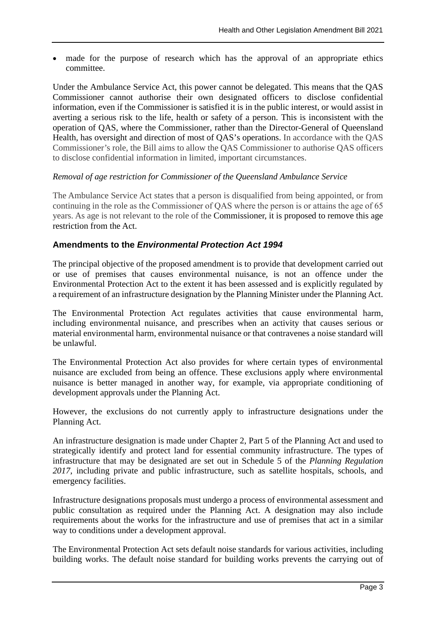• made for the purpose of research which has the approval of an appropriate ethics committee.

Under the Ambulance Service Act, this power cannot be delegated. This means that the QAS Commissioner cannot authorise their own designated officers to disclose confidential information, even if the Commissioner is satisfied it is in the public interest, or would assist in averting a serious risk to the life, health or safety of a person. This is inconsistent with the operation of QAS, where the Commissioner, rather than the Director-General of Queensland Health, has oversight and direction of most of QAS's operations. In accordance with the QAS Commissioner's role, the Bill aims to allow the QAS Commissioner to authorise QAS officers to disclose confidential information in limited, important circumstances.

### *Removal of age restriction for Commissioner of the Queensland Ambulance Service*

The Ambulance Service Act states that a person is disqualified from being appointed, or from continuing in the role as the Commissioner of QAS where the person is or attains the age of 65 years. As age is not relevant to the role of the Commissioner, it is proposed to remove this age restriction from the Act.

## **Amendments to the** *Environmental Protection Act 1994*

The principal objective of the proposed amendment is to provide that development carried out or use of premises that causes environmental nuisance, is not an offence under the Environmental Protection Act to the extent it has been assessed and is explicitly regulated by a requirement of an infrastructure designation by the Planning Minister under the Planning Act.

The Environmental Protection Act regulates activities that cause environmental harm, including environmental nuisance, and prescribes when an activity that causes serious or material environmental harm, environmental nuisance or that contravenes a noise standard will be unlawful.

The Environmental Protection Act also provides for where certain types of environmental nuisance are excluded from being an offence. These exclusions apply where environmental nuisance is better managed in another way, for example, via appropriate conditioning of development approvals under the Planning Act.

However, the exclusions do not currently apply to infrastructure designations under the Planning Act.

An infrastructure designation is made under Chapter 2, Part 5 of the Planning Act and used to strategically identify and protect land for essential community infrastructure. The types of infrastructure that may be designated are set out in Schedule 5 of the *Planning Regulation 2017*, including private and public infrastructure, such as satellite hospitals, schools, and emergency facilities.

Infrastructure designations proposals must undergo a process of environmental assessment and public consultation as required under the Planning Act. A designation may also include requirements about the works for the infrastructure and use of premises that act in a similar way to conditions under a development approval.

The Environmental Protection Act sets default noise standards for various activities, including building works. The default noise standard for building works prevents the carrying out of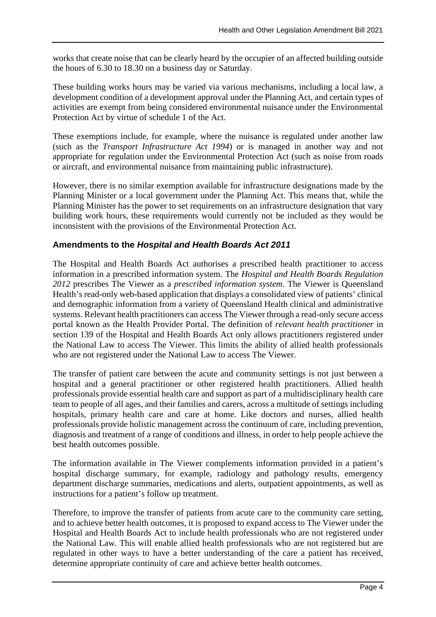works that create noise that can be clearly heard by the occupier of an affected building outside the hours of 6.30 to 18.30 on a business day or Saturday.

These building works hours may be varied via various mechanisms, including a local law, a development condition of a development approval under the Planning Act, and certain types of activities are exempt from being considered environmental nuisance under the Environmental Protection Act by virtue of schedule 1 of the Act.

These exemptions include, for example, where the nuisance is regulated under another law (such as the *Transport Infrastructure Act 1994*) or is managed in another way and not appropriate for regulation under the Environmental Protection Act (such as noise from roads or aircraft, and environmental nuisance from maintaining public infrastructure).

However, there is no similar exemption available for infrastructure designations made by the Planning Minister or a local government under the Planning Act. This means that, while the Planning Minister has the power to set requirements on an infrastructure designation that vary building work hours, these requirements would currently not be included as they would be inconsistent with the provisions of the Environmental Protection Act.

## **Amendments to the** *Hospital and Health Boards Act 2011*

The Hospital and Health Boards Act authorises a prescribed health practitioner to access information in a prescribed information system. The *Hospital and Health Boards Regulation 2012* prescribes The Viewer as a *prescribed information system*. The Viewer is Queensland Health's read-only web-based application that displays a consolidated view of patients' clinical and demographic information from a variety of Queensland Health clinical and administrative systems. Relevant health practitioners can access The Viewer through a read-only secure access portal known as the Health Provider Portal. The definition of *relevant health practitioner* in section 139 of the Hospital and Health Boards Act only allows practitioners registered under the National Law to access The Viewer. This limits the ability of allied health professionals who are not registered under the National Law to access The Viewer.

The transfer of patient care between the acute and community settings is not just between a hospital and a general practitioner or other registered health practitioners. Allied health professionals provide essential health care and support as part of a multidisciplinary health care team to people of all ages, and their families and carers, across a multitude of settings including hospitals, primary health care and care at home. Like doctors and nurses, allied health professionals provide holistic management across the continuum of care, including prevention, diagnosis and treatment of a range of conditions and illness, in order to help people achieve the best health outcomes possible.

The information available in The Viewer complements information provided in a patient's hospital discharge summary, for example, radiology and pathology results, emergency department discharge summaries, medications and alerts, outpatient appointments, as well as instructions for a patient's follow up treatment.

Therefore, to improve the transfer of patients from acute care to the community care setting, and to achieve better health outcomes, it is proposed to expand access to The Viewer under the Hospital and Health Boards Act to include health professionals who are not registered under the National Law. This will enable allied health professionals who are not registered but are regulated in other ways to have a better understanding of the care a patient has received, determine appropriate continuity of care and achieve better health outcomes.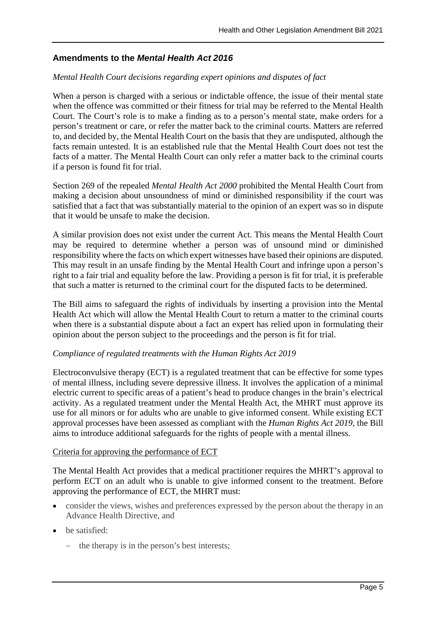## **Amendments to the** *Mental Health Act 2016*

### *Mental Health Court decisions regarding expert opinions and disputes of fact*

When a person is charged with a serious or indictable offence, the issue of their mental state when the offence was committed or their fitness for trial may be referred to the Mental Health Court. The Court's role is to make a finding as to a person's mental state, make orders for a person's treatment or care, or refer the matter back to the criminal courts. Matters are referred to, and decided by, the Mental Health Court on the basis that they are undisputed, although the facts remain untested. It is an established rule that the Mental Health Court does not test the facts of a matter. The Mental Health Court can only refer a matter back to the criminal courts if a person is found fit for trial.

Section 269 of the repealed *Mental Health Act 2000* prohibited the Mental Health Court from making a decision about unsoundness of mind or diminished responsibility if the court was satisfied that a fact that was substantially material to the opinion of an expert was so in dispute that it would be unsafe to make the decision.

A similar provision does not exist under the current Act. This means the Mental Health Court may be required to determine whether a person was of unsound mind or diminished responsibility where the facts on which expert witnesses have based their opinions are disputed. This may result in an unsafe finding by the Mental Health Court and infringe upon a person's right to a fair trial and equality before the law. Providing a person is fit for trial, it is preferable that such a matter is returned to the criminal court for the disputed facts to be determined.

The Bill aims to safeguard the rights of individuals by inserting a provision into the Mental Health Act which will allow the Mental Health Court to return a matter to the criminal courts when there is a substantial dispute about a fact an expert has relied upon in formulating their opinion about the person subject to the proceedings and the person is fit for trial.

### *Compliance of regulated treatments with the Human Rights Act 2019*

Electroconvulsive therapy (ECT) is a regulated treatment that can be effective for some types of mental illness, including severe depressive illness. It involves the application of a minimal electric current to specific areas of a patient's head to produce changes in the brain's electrical activity. As a regulated treatment under the Mental Health Act, the MHRT must approve its use for all minors or for adults who are unable to give informed consent. While existing ECT approval processes have been assessed as compliant with the *Human Rights Act 2019,* the Bill aims to introduce additional safeguards for the rights of people with a mental illness.

### Criteria for approving the performance of ECT

The Mental Health Act provides that a medical practitioner requires the MHRT's approval to perform ECT on an adult who is unable to give informed consent to the treatment. Before approving the performance of ECT, the MHRT must:

- consider the views, wishes and preferences expressed by the person about the therapy in an Advance Health Directive, and
- be satisfied:
	- − the therapy is in the person's best interests;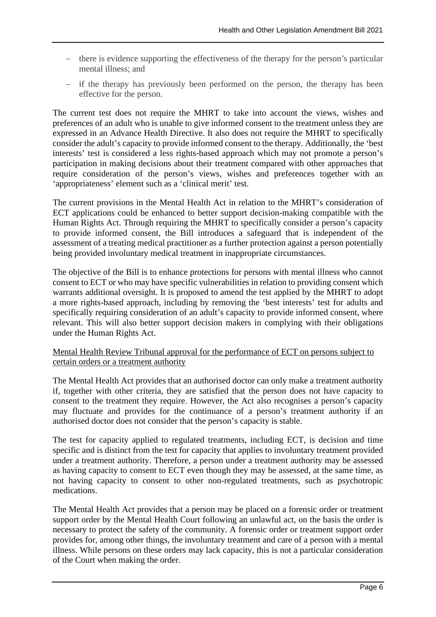- − there is evidence supporting the effectiveness of the therapy for the person's particular mental illness; and
- − if the therapy has previously been performed on the person, the therapy has been effective for the person.

The current test does not require the MHRT to take into account the views, wishes and preferences of an adult who is unable to give informed consent to the treatment unless they are expressed in an Advance Health Directive. It also does not require the MHRT to specifically consider the adult's capacity to provide informed consent to the therapy. Additionally, the 'best interests' test is considered a less rights-based approach which may not promote a person's participation in making decisions about their treatment compared with other approaches that require consideration of the person's views, wishes and preferences together with an 'appropriateness' element such as a 'clinical merit' test.

The current provisions in the Mental Health Act in relation to the MHRT's consideration of ECT applications could be enhanced to better support decision-making compatible with the Human Rights Act. Through requiring the MHRT to specifically consider a person's capacity to provide informed consent, the Bill introduces a safeguard that is independent of the assessment of a treating medical practitioner as a further protection against a person potentially being provided involuntary medical treatment in inappropriate circumstances.

The objective of the Bill is to enhance protections for persons with mental illness who cannot consent to ECT or who may have specific vulnerabilities in relation to providing consent which warrants additional oversight. It is proposed to amend the test applied by the MHRT to adopt a more rights-based approach, including by removing the 'best interests' test for adults and specifically requiring consideration of an adult's capacity to provide informed consent, where relevant. This will also better support decision makers in complying with their obligations under the Human Rights Act.

#### Mental Health Review Tribunal approval for the performance of ECT on persons subject to certain orders or a treatment authority

The Mental Health Act provides that an authorised doctor can only make a treatment authority if, together with other criteria, they are satisfied that the person does not have capacity to consent to the treatment they require. However, the Act also recognises a person's capacity may fluctuate and provides for the continuance of a person's treatment authority if an authorised doctor does not consider that the person's capacity is stable.

The test for capacity applied to regulated treatments, including ECT, is decision and time specific and is distinct from the test for capacity that applies to involuntary treatment provided under a treatment authority. Therefore, a person under a treatment authority may be assessed as having capacity to consent to ECT even though they may be assessed, at the same time, as not having capacity to consent to other non-regulated treatments, such as psychotropic medications.

The Mental Health Act provides that a person may be placed on a forensic order or treatment support order by the Mental Health Court following an unlawful act, on the basis the order is necessary to protect the safety of the community. A forensic order or treatment support order provides for, among other things, the involuntary treatment and care of a person with a mental illness. While persons on these orders may lack capacity, this is not a particular consideration of the Court when making the order.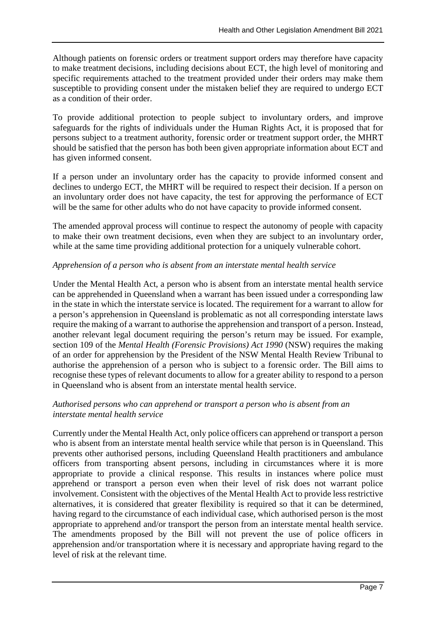Although patients on forensic orders or treatment support orders may therefore have capacity to make treatment decisions, including decisions about ECT, the high level of monitoring and specific requirements attached to the treatment provided under their orders may make them susceptible to providing consent under the mistaken belief they are required to undergo ECT as a condition of their order.

To provide additional protection to people subject to involuntary orders, and improve safeguards for the rights of individuals under the Human Rights Act, it is proposed that for persons subject to a treatment authority, forensic order or treatment support order, the MHRT should be satisfied that the person has both been given appropriate information about ECT and has given informed consent.

If a person under an involuntary order has the capacity to provide informed consent and declines to undergo ECT, the MHRT will be required to respect their decision. If a person on an involuntary order does not have capacity, the test for approving the performance of ECT will be the same for other adults who do not have capacity to provide informed consent.

The amended approval process will continue to respect the autonomy of people with capacity to make their own treatment decisions, even when they are subject to an involuntary order, while at the same time providing additional protection for a uniquely vulnerable cohort.

### *Apprehension of a person who is absent from an interstate mental health service*

Under the Mental Health Act, a person who is absent from an interstate mental health service can be apprehended in Queensland when a warrant has been issued under a corresponding law in the state in which the interstate service is located. The requirement for a warrant to allow for a person's apprehension in Queensland is problematic as not all corresponding interstate laws require the making of a warrant to authorise the apprehension and transport of a person. Instead, another relevant legal document requiring the person's return may be issued. For example, section 109 of the *Mental Health (Forensic Provisions) Act 1990* (NSW) requires the making of an order for apprehension by the President of the NSW Mental Health Review Tribunal to authorise the apprehension of a person who is subject to a forensic order. The Bill aims to recognise these types of relevant documents to allow for a greater ability to respond to a person in Queensland who is absent from an interstate mental health service.

#### *Authorised persons who can apprehend or transport a person who is absent from an interstate mental health service*

Currently under the Mental Health Act, only police officers can apprehend or transport a person who is absent from an interstate mental health service while that person is in Queensland. This prevents other authorised persons, including Queensland Health practitioners and ambulance officers from transporting absent persons, including in circumstances where it is more appropriate to provide a clinical response. This results in instances where police must apprehend or transport a person even when their level of risk does not warrant police involvement. Consistent with the objectives of the Mental Health Act to provide less restrictive alternatives, it is considered that greater flexibility is required so that it can be determined, having regard to the circumstance of each individual case, which authorised person is the most appropriate to apprehend and/or transport the person from an interstate mental health service. The amendments proposed by the Bill will not prevent the use of police officers in apprehension and/or transportation where it is necessary and appropriate having regard to the level of risk at the relevant time.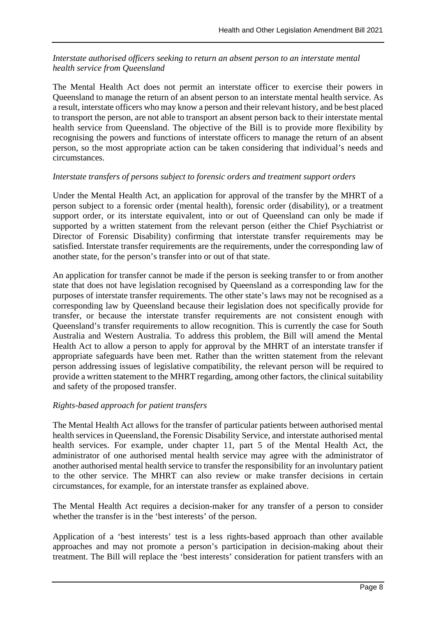### *Interstate authorised officers seeking to return an absent person to an interstate mental health service from Queensland*

The Mental Health Act does not permit an interstate officer to exercise their powers in Queensland to manage the return of an absent person to an interstate mental health service. As a result, interstate officers who may know a person and their relevant history, and be best placed to transport the person, are not able to transport an absent person back to their interstate mental health service from Queensland. The objective of the Bill is to provide more flexibility by recognising the powers and functions of interstate officers to manage the return of an absent person, so the most appropriate action can be taken considering that individual's needs and circumstances.

#### *Interstate transfers of persons subject to forensic orders and treatment support orders*

Under the Mental Health Act, an application for approval of the transfer by the MHRT of a person subject to a forensic order (mental health), forensic order (disability), or a treatment support order, or its interstate equivalent, into or out of Queensland can only be made if supported by a written statement from the relevant person (either the Chief Psychiatrist or Director of Forensic Disability) confirming that interstate transfer requirements may be satisfied. Interstate transfer requirements are the requirements, under the corresponding law of another state, for the person's transfer into or out of that state.

An application for transfer cannot be made if the person is seeking transfer to or from another state that does not have legislation recognised by Queensland as a corresponding law for the purposes of interstate transfer requirements. The other state's laws may not be recognised as a corresponding law by Queensland because their legislation does not specifically provide for transfer, or because the interstate transfer requirements are not consistent enough with Queensland's transfer requirements to allow recognition. This is currently the case for South Australia and Western Australia. To address this problem, the Bill will amend the Mental Health Act to allow a person to apply for approval by the MHRT of an interstate transfer if appropriate safeguards have been met. Rather than the written statement from the relevant person addressing issues of legislative compatibility, the relevant person will be required to provide a written statement to the MHRT regarding, among other factors, the clinical suitability and safety of the proposed transfer.

### *Rights-based approach for patient transfers*

The Mental Health Act allows for the transfer of particular patients between authorised mental health services in Queensland, the Forensic Disability Service, and interstate authorised mental health services. For example, under chapter 11, part 5 of the Mental Health Act, the administrator of one authorised mental health service may agree with the administrator of another authorised mental health service to transfer the responsibility for an involuntary patient to the other service. The MHRT can also review or make transfer decisions in certain circumstances, for example, for an interstate transfer as explained above.

The Mental Health Act requires a decision-maker for any transfer of a person to consider whether the transfer is in the 'best interests' of the person.

Application of a 'best interests' test is a less rights-based approach than other available approaches and may not promote a person's participation in decision-making about their treatment. The Bill will replace the 'best interests' consideration for patient transfers with an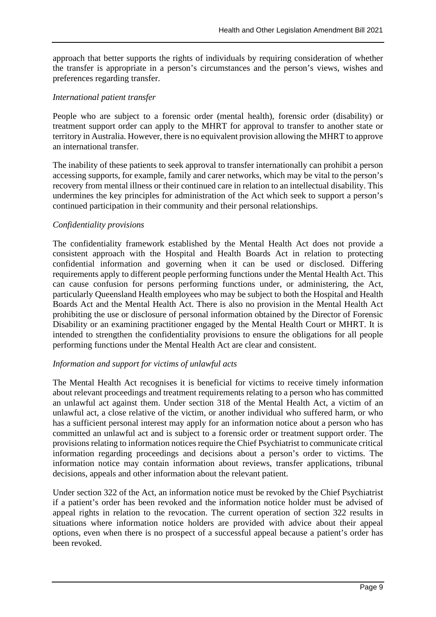approach that better supports the rights of individuals by requiring consideration of whether the transfer is appropriate in a person's circumstances and the person's views, wishes and preferences regarding transfer.

### *International patient transfer*

People who are subject to a forensic order (mental health), forensic order (disability) or treatment support order can apply to the MHRT for approval to transfer to another state or territory in Australia. However, there is no equivalent provision allowing the MHRT to approve an international transfer.

The inability of these patients to seek approval to transfer internationally can prohibit a person accessing supports, for example, family and carer networks, which may be vital to the person's recovery from mental illness or their continued care in relation to an intellectual disability. This undermines the key principles for administration of the Act which seek to support a person's continued participation in their community and their personal relationships.

### *Confidentiality provisions*

The confidentiality framework established by the Mental Health Act does not provide a consistent approach with the Hospital and Health Boards Act in relation to protecting confidential information and governing when it can be used or disclosed. Differing requirements apply to different people performing functions under the Mental Health Act. This can cause confusion for persons performing functions under, or administering, the Act, particularly Queensland Health employees who may be subject to both the Hospital and Health Boards Act and the Mental Health Act. There is also no provision in the Mental Health Act prohibiting the use or disclosure of personal information obtained by the Director of Forensic Disability or an examining practitioner engaged by the Mental Health Court or MHRT. It is intended to strengthen the confidentiality provisions to ensure the obligations for all people performing functions under the Mental Health Act are clear and consistent.

### *Information and support for victims of unlawful acts*

The Mental Health Act recognises it is beneficial for victims to receive timely information about relevant proceedings and treatment requirements relating to a person who has committed an unlawful act against them. Under section 318 of the Mental Health Act, a victim of an unlawful act, a close relative of the victim, or another individual who suffered harm, or who has a sufficient personal interest may apply for an information notice about a person who has committed an unlawful act and is subject to a forensic order or treatment support order. The provisions relating to information notices require the Chief Psychiatrist to communicate critical information regarding proceedings and decisions about a person's order to victims. The information notice may contain information about reviews, transfer applications, tribunal decisions, appeals and other information about the relevant patient.

Under section 322 of the Act, an information notice must be revoked by the Chief Psychiatrist if a patient's order has been revoked and the information notice holder must be advised of appeal rights in relation to the revocation. The current operation of section 322 results in situations where information notice holders are provided with advice about their appeal options, even when there is no prospect of a successful appeal because a patient's order has been revoked.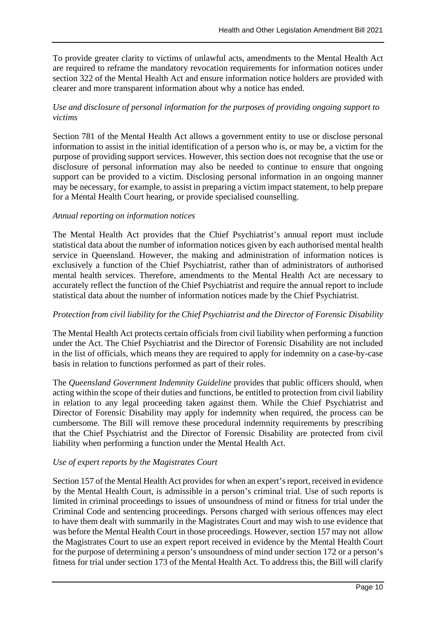To provide greater clarity to victims of unlawful acts, amendments to the Mental Health Act are required to reframe the mandatory revocation requirements for information notices under section 322 of the Mental Health Act and ensure information notice holders are provided with clearer and more transparent information about why a notice has ended.

### *Use and disclosure of personal information for the purposes of providing ongoing support to victims*

Section 781 of the Mental Health Act allows a government entity to use or disclose personal information to assist in the initial identification of a person who is, or may be, a victim for the purpose of providing support services. However, this section does not recognise that the use or disclosure of personal information may also be needed to continue to ensure that ongoing support can be provided to a victim. Disclosing personal information in an ongoing manner may be necessary, for example, to assist in preparing a victim impact statement, to help prepare for a Mental Health Court hearing, or provide specialised counselling.

#### *Annual reporting on information notices*

The Mental Health Act provides that the Chief Psychiatrist's annual report must include statistical data about the number of information notices given by each authorised mental health service in Queensland. However, the making and administration of information notices is exclusively a function of the Chief Psychiatrist, rather than of administrators of authorised mental health services. Therefore, amendments to the Mental Health Act are necessary to accurately reflect the function of the Chief Psychiatrist and require the annual report to include statistical data about the number of information notices made by the Chief Psychiatrist.

#### *Protection from civil liability for the Chief Psychiatrist and the Director of Forensic Disability*

The Mental Health Act protects certain officials from civil liability when performing a function under the Act. The Chief Psychiatrist and the Director of Forensic Disability are not included in the list of officials, which means they are required to apply for indemnity on a case-by-case basis in relation to functions performed as part of their roles.

The *Queensland Government Indemnity Guideline* provides that public officers should, when acting within the scope of their duties and functions, be entitled to protection from civil liability in relation to any legal proceeding taken against them. While the Chief Psychiatrist and Director of Forensic Disability may apply for indemnity when required, the process can be cumbersome. The Bill will remove these procedural indemnity requirements by prescribing that the Chief Psychiatrist and the Director of Forensic Disability are protected from civil liability when performing a function under the Mental Health Act.

### *Use of expert reports by the Magistrates Court*

Section 157 of the Mental Health Act provides for when an expert's report, received in evidence by the Mental Health Court, is admissible in a person's criminal trial. Use of such reports is limited in criminal proceedings to issues of unsoundness of mind or fitness for trial under the Criminal Code and sentencing proceedings. Persons charged with serious offences may elect to have them dealt with summarily in the Magistrates Court and may wish to use evidence that was before the Mental Health Court in those proceedings. However, section 157 may not allow the Magistrates Court to use an expert report received in evidence by the Mental Health Court for the purpose of determining a person's unsoundness of mind under section 172 or a person's fitness for trial under section 173 of the Mental Health Act. To address this, the Bill will clarify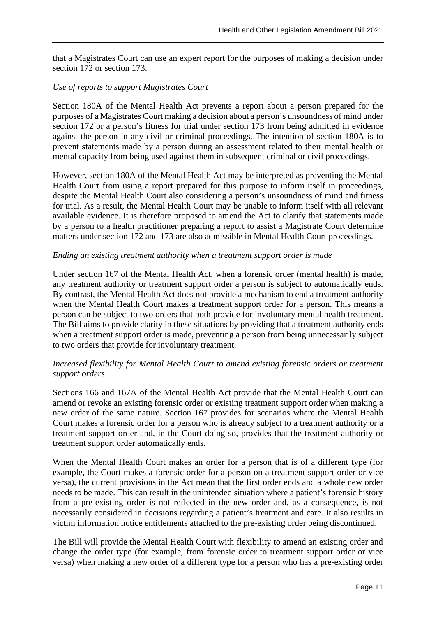that a Magistrates Court can use an expert report for the purposes of making a decision under section 172 or section 173.

#### *Use of reports to support Magistrates Court*

Section 180A of the Mental Health Act prevents a report about a person prepared for the purposes of a Magistrates Court making a decision about a person's unsoundness of mind under section 172 or a person's fitness for trial under section 173 from being admitted in evidence against the person in any civil or criminal proceedings. The intention of section 180A is to prevent statements made by a person during an assessment related to their mental health or mental capacity from being used against them in subsequent criminal or civil proceedings.

However, section 180A of the Mental Health Act may be interpreted as preventing the Mental Health Court from using a report prepared for this purpose to inform itself in proceedings, despite the Mental Health Court also considering a person's unsoundness of mind and fitness for trial. As a result, the Mental Health Court may be unable to inform itself with all relevant available evidence. It is therefore proposed to amend the Act to clarify that statements made by a person to a health practitioner preparing a report to assist a Magistrate Court determine matters under section 172 and 173 are also admissible in Mental Health Court proceedings.

#### *Ending an existing treatment authority when a treatment support order is made*

Under section 167 of the Mental Health Act, when a forensic order (mental health) is made, any treatment authority or treatment support order a person is subject to automatically ends. By contrast, the Mental Health Act does not provide a mechanism to end a treatment authority when the Mental Health Court makes a treatment support order for a person. This means a person can be subject to two orders that both provide for involuntary mental health treatment. The Bill aims to provide clarity in these situations by providing that a treatment authority ends when a treatment support order is made, preventing a person from being unnecessarily subject to two orders that provide for involuntary treatment.

#### *Increased flexibility for Mental Health Court to amend existing forensic orders or treatment support orders*

Sections 166 and 167A of the Mental Health Act provide that the Mental Health Court can amend or revoke an existing forensic order or existing treatment support order when making a new order of the same nature. Section 167 provides for scenarios where the Mental Health Court makes a forensic order for a person who is already subject to a treatment authority or a treatment support order and, in the Court doing so, provides that the treatment authority or treatment support order automatically ends.

When the Mental Health Court makes an order for a person that is of a different type (for example, the Court makes a forensic order for a person on a treatment support order or vice versa), the current provisions in the Act mean that the first order ends and a whole new order needs to be made. This can result in the unintended situation where a patient's forensic history from a pre-existing order is not reflected in the new order and, as a consequence, is not necessarily considered in decisions regarding a patient's treatment and care. It also results in victim information notice entitlements attached to the pre-existing order being discontinued.

The Bill will provide the Mental Health Court with flexibility to amend an existing order and change the order type (for example, from forensic order to treatment support order or vice versa) when making a new order of a different type for a person who has a pre-existing order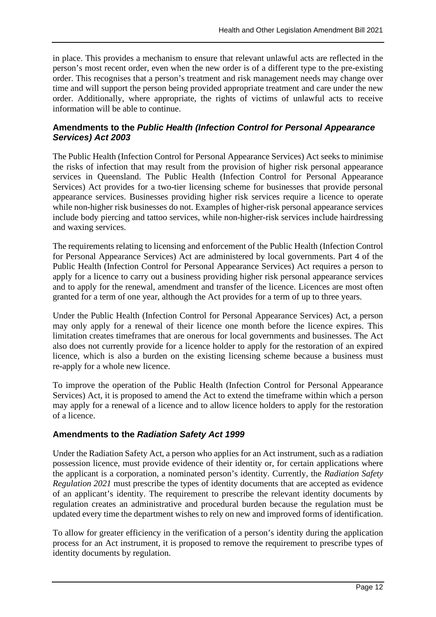in place. This provides a mechanism to ensure that relevant unlawful acts are reflected in the person's most recent order, even when the new order is of a different type to the pre-existing order. This recognises that a person's treatment and risk management needs may change over time and will support the person being provided appropriate treatment and care under the new order. Additionally, where appropriate, the rights of victims of unlawful acts to receive information will be able to continue.

## **Amendments to the** *Public Health (Infection Control for Personal Appearance Services) Act 2003*

The Public Health (Infection Control for Personal Appearance Services) Act seeks to minimise the risks of infection that may result from the provision of higher risk personal appearance services in Queensland. The Public Health (Infection Control for Personal Appearance Services) Act provides for a two-tier licensing scheme for businesses that provide personal appearance services. Businesses providing higher risk services require a licence to operate while non-higher risk businesses do not. Examples of higher-risk personal appearance services include body piercing and tattoo services, while non-higher-risk services include hairdressing and waxing services.

The requirements relating to licensing and enforcement of the Public Health (Infection Control for Personal Appearance Services) Act are administered by local governments. Part 4 of the Public Health (Infection Control for Personal Appearance Services) Act requires a person to apply for a licence to carry out a business providing higher risk personal appearance services and to apply for the renewal, amendment and transfer of the licence. Licences are most often granted for a term of one year, although the Act provides for a term of up to three years.

Under the Public Health (Infection Control for Personal Appearance Services) Act, a person may only apply for a renewal of their licence one month before the licence expires. This limitation creates timeframes that are onerous for local governments and businesses. The Act also does not currently provide for a licence holder to apply for the restoration of an expired licence, which is also a burden on the existing licensing scheme because a business must re-apply for a whole new licence.

To improve the operation of the Public Health (Infection Control for Personal Appearance Services) Act, it is proposed to amend the Act to extend the timeframe within which a person may apply for a renewal of a licence and to allow licence holders to apply for the restoration of a licence.

## **Amendments to the** *Radiation Safety Act 1999*

Under the Radiation Safety Act, a person who applies for an Act instrument, such as a radiation possession licence, must provide evidence of their identity or, for certain applications where the applicant is a corporation, a nominated person's identity. Currently, the *Radiation Safety Regulation 2021* must prescribe the types of identity documents that are accepted as evidence of an applicant's identity. The requirement to prescribe the relevant identity documents by regulation creates an administrative and procedural burden because the regulation must be updated every time the department wishes to rely on new and improved forms of identification.

To allow for greater efficiency in the verification of a person's identity during the application process for an Act instrument, it is proposed to remove the requirement to prescribe types of identity documents by regulation.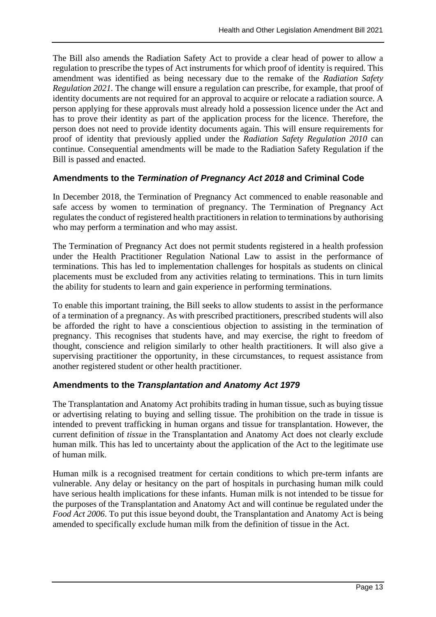The Bill also amends the Radiation Safety Act to provide a clear head of power to allow a regulation to prescribe the types of Act instruments for which proof of identity is required. This amendment was identified as being necessary due to the remake of the *Radiation Safety Regulation 2021.* The change will ensure a regulation can prescribe, for example, that proof of identity documents are not required for an approval to acquire or relocate a radiation source. A person applying for these approvals must already hold a possession licence under the Act and has to prove their identity as part of the application process for the licence. Therefore, the person does not need to provide identity documents again. This will ensure requirements for proof of identity that previously applied under the *Radiation Safety Regulation 2010* can continue. Consequential amendments will be made to the Radiation Safety Regulation if the Bill is passed and enacted.

## **Amendments to the** *Termination of Pregnancy Act 2018* **and Criminal Code**

In December 2018, the Termination of Pregnancy Act commenced to enable reasonable and safe access by women to termination of pregnancy. The Termination of Pregnancy Act regulates the conduct of registered health practitioners in relation to terminations by authorising who may perform a termination and who may assist.

The Termination of Pregnancy Act does not permit students registered in a health profession under the Health Practitioner Regulation National Law to assist in the performance of terminations. This has led to implementation challenges for hospitals as students on clinical placements must be excluded from any activities relating to terminations. This in turn limits the ability for students to learn and gain experience in performing terminations.

To enable this important training, the Bill seeks to allow students to assist in the performance of a termination of a pregnancy. As with prescribed practitioners, prescribed students will also be afforded the right to have a conscientious objection to assisting in the termination of pregnancy. This recognises that students have, and may exercise, the right to freedom of thought, conscience and religion similarly to other health practitioners. It will also give a supervising practitioner the opportunity, in these circumstances, to request assistance from another registered student or other health practitioner.

### **Amendments to the** *Transplantation and Anatomy Act 1979*

The Transplantation and Anatomy Act prohibits trading in human tissue, such as buying tissue or advertising relating to buying and selling tissue. The prohibition on the trade in tissue is intended to prevent trafficking in human organs and tissue for transplantation. However, the current definition of *tissue* in the Transplantation and Anatomy Act does not clearly exclude human milk. This has led to uncertainty about the application of the Act to the legitimate use of human milk.

Human milk is a recognised treatment for certain conditions to which pre-term infants are vulnerable. Any delay or hesitancy on the part of hospitals in purchasing human milk could have serious health implications for these infants. Human milk is not intended to be tissue for the purposes of the Transplantation and Anatomy Act and will continue be regulated under the *Food Act 2006*. To put this issue beyond doubt, the Transplantation and Anatomy Act is being amended to specifically exclude human milk from the definition of tissue in the Act.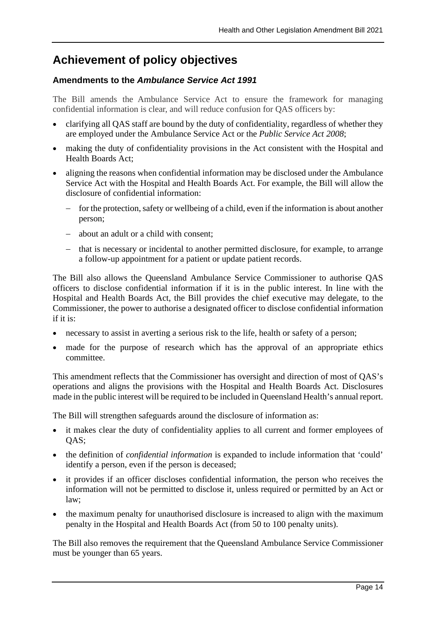## **Achievement of policy objectives**

## **Amendments to the** *Ambulance Service Act 1991*

The Bill amends the Ambulance Service Act to ensure the framework for managing confidential information is clear, and will reduce confusion for QAS officers by:

- clarifying all QAS staff are bound by the duty of confidentiality, regardless of whether they are employed under the Ambulance Service Act or the *Public Service Act 2008*;
- making the duty of confidentiality provisions in the Act consistent with the Hospital and Health Boards Act;
- aligning the reasons when confidential information may be disclosed under the Ambulance Service Act with the Hospital and Health Boards Act. For example, the Bill will allow the disclosure of confidential information:
	- − for the protection, safety or wellbeing of a child, even if the information is about another person;
	- − about an adult or a child with consent;
	- − that is necessary or incidental to another permitted disclosure, for example, to arrange a follow-up appointment for a patient or update patient records.

The Bill also allows the Queensland Ambulance Service Commissioner to authorise QAS officers to disclose confidential information if it is in the public interest. In line with the Hospital and Health Boards Act, the Bill provides the chief executive may delegate, to the Commissioner, the power to authorise a designated officer to disclose confidential information if it is:

- necessary to assist in averting a serious risk to the life, health or safety of a person;
- made for the purpose of research which has the approval of an appropriate ethics committee.

This amendment reflects that the Commissioner has oversight and direction of most of QAS's operations and aligns the provisions with the Hospital and Health Boards Act. Disclosures made in the public interest will be required to be included in Queensland Health's annual report.

The Bill will strengthen safeguards around the disclosure of information as:

- it makes clear the duty of confidentiality applies to all current and former employees of OAS:
- the definition of *confidential information* is expanded to include information that 'could' identify a person, even if the person is deceased;
- it provides if an officer discloses confidential information, the person who receives the information will not be permitted to disclose it, unless required or permitted by an Act or law;
- the maximum penalty for unauthorised disclosure is increased to align with the maximum penalty in the Hospital and Health Boards Act (from 50 to 100 penalty units).

The Bill also removes the requirement that the Queensland Ambulance Service Commissioner must be younger than 65 years.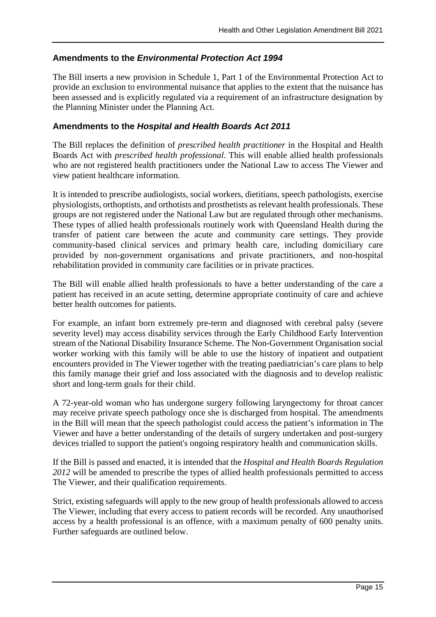## **Amendments to the** *Environmental Protection Act 1994*

The Bill inserts a new provision in Schedule 1, Part 1 of the Environmental Protection Act to provide an exclusion to environmental nuisance that applies to the extent that the nuisance has been assessed and is explicitly regulated via a requirement of an infrastructure designation by the Planning Minister under the Planning Act*.*

## **Amendments to the** *Hospital and Health Boards Act 2011*

The Bill replaces the definition of *prescribed health practitioner* in the Hospital and Health Boards Act with *prescribed health professional*. This will enable allied health professionals who are not registered health practitioners under the National Law to access The Viewer and view patient healthcare information.

It is intended to prescribe audiologists, social workers, dietitians, speech pathologists, exercise physiologists, orthoptists, and orthotists and prosthetists as relevant health professionals. These groups are not registered under the National Law but are regulated through other mechanisms. These types of allied health professionals routinely work with Queensland Health during the transfer of patient care between the acute and community care settings. They provide community-based clinical services and primary health care, including domiciliary care provided by non-government organisations and private practitioners, and non-hospital rehabilitation provided in community care facilities or in private practices.

The Bill will enable allied health professionals to have a better understanding of the care a patient has received in an acute setting, determine appropriate continuity of care and achieve better health outcomes for patients.

For example, an infant born extremely pre-term and diagnosed with cerebral palsy (severe severity level) may access disability services through the Early Childhood Early Intervention stream of the National Disability Insurance Scheme. The Non-Government Organisation social worker working with this family will be able to use the history of inpatient and outpatient encounters provided in The Viewer together with the treating paediatrician's care plans to help this family manage their grief and loss associated with the diagnosis and to develop realistic short and long-term goals for their child.

A 72-year-old woman who has undergone surgery following laryngectomy for throat cancer may receive private speech pathology once she is discharged from hospital. The amendments in the Bill will mean that the speech pathologist could access the patient's information in The Viewer and have a better understanding of the details of surgery undertaken and post-surgery devices trialled to support the patient's ongoing respiratory health and communication skills.

If the Bill is passed and enacted, it is intended that the *Hospital and Health Boards Regulation 2012* will be amended to prescribe the types of allied health professionals permitted to access The Viewer, and their qualification requirements.

Strict, existing safeguards will apply to the new group of health professionals allowed to access The Viewer, including that every access to patient records will be recorded. Any unauthorised access by a health professional is an offence, with a maximum penalty of 600 penalty units. Further safeguards are outlined below.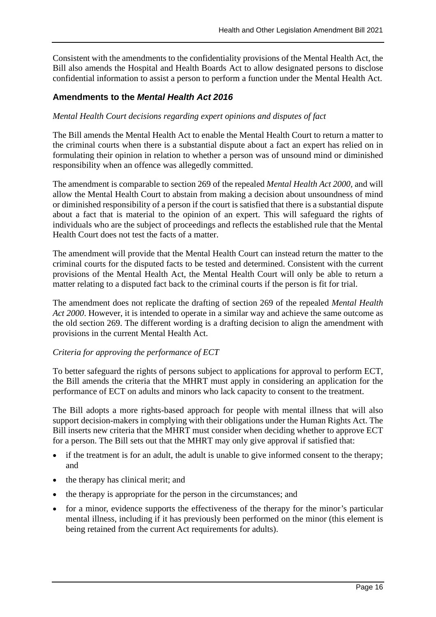Consistent with the amendments to the confidentiality provisions of the Mental Health Act, the Bill also amends the Hospital and Health Boards Act to allow designated persons to disclose confidential information to assist a person to perform a function under the Mental Health Act.

### **Amendments to the** *Mental Health Act 2016*

#### *Mental Health Court decisions regarding expert opinions and disputes of fact*

The Bill amends the Mental Health Act to enable the Mental Health Court to return a matter to the criminal courts when there is a substantial dispute about a fact an expert has relied on in formulating their opinion in relation to whether a person was of unsound mind or diminished responsibility when an offence was allegedly committed.

The amendment is comparable to section 269 of the repealed *Mental Health Act 2000,* and will allow the Mental Health Court to abstain from making a decision about unsoundness of mind or diminished responsibility of a person if the court is satisfied that there is a substantial dispute about a fact that is material to the opinion of an expert. This will safeguard the rights of individuals who are the subject of proceedings and reflects the established rule that the Mental Health Court does not test the facts of a matter.

The amendment will provide that the Mental Health Court can instead return the matter to the criminal courts for the disputed facts to be tested and determined. Consistent with the current provisions of the Mental Health Act, the Mental Health Court will only be able to return a matter relating to a disputed fact back to the criminal courts if the person is fit for trial.

The amendment does not replicate the drafting of section 269 of the repealed *Mental Health Act 2000*. However, it is intended to operate in a similar way and achieve the same outcome as the old section 269. The different wording is a drafting decision to align the amendment with provisions in the current Mental Health Act.

#### *Criteria for approving the performance of ECT*

To better safeguard the rights of persons subject to applications for approval to perform ECT, the Bill amends the criteria that the MHRT must apply in considering an application for the performance of ECT on adults and minors who lack capacity to consent to the treatment.

The Bill adopts a more rights-based approach for people with mental illness that will also support decision-makers in complying with their obligations under the Human Rights Act. The Bill inserts new criteria that the MHRT must consider when deciding whether to approve ECT for a person. The Bill sets out that the MHRT may only give approval if satisfied that:

- if the treatment is for an adult, the adult is unable to give informed consent to the therapy; and
- the therapy has clinical merit; and
- the therapy is appropriate for the person in the circumstances; and
- for a minor, evidence supports the effectiveness of the therapy for the minor's particular mental illness, including if it has previously been performed on the minor (this element is being retained from the current Act requirements for adults).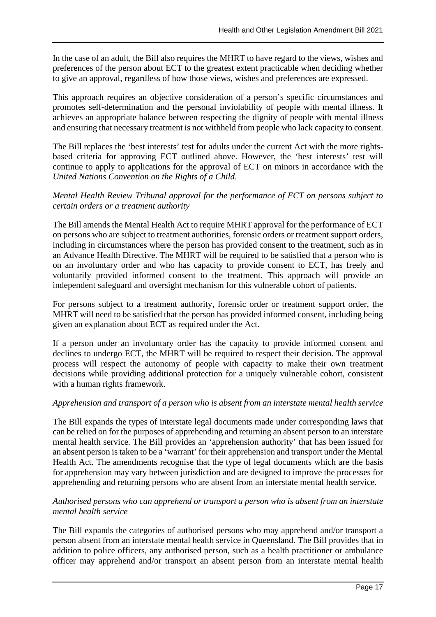In the case of an adult, the Bill also requires the MHRT to have regard to the views, wishes and preferences of the person about ECT to the greatest extent practicable when deciding whether to give an approval, regardless of how those views, wishes and preferences are expressed.

This approach requires an objective consideration of a person's specific circumstances and promotes self-determination and the personal inviolability of people with mental illness. It achieves an appropriate balance between respecting the dignity of people with mental illness and ensuring that necessary treatment is not withheld from people who lack capacity to consent.

The Bill replaces the 'best interests' test for adults under the current Act with the more rightsbased criteria for approving ECT outlined above. However, the 'best interests' test will continue to apply to applications for the approval of ECT on minors in accordance with the *United Nations Convention on the Rights of a Child*.

## *Mental Health Review Tribunal approval for the performance of ECT on persons subject to certain orders or a treatment authority*

The Bill amends the Mental Health Act to require MHRT approval for the performance of ECT on persons who are subject to treatment authorities, forensic orders or treatment support orders, including in circumstances where the person has provided consent to the treatment, such as in an Advance Health Directive. The MHRT will be required to be satisfied that a person who is on an involuntary order and who has capacity to provide consent to ECT, has freely and voluntarily provided informed consent to the treatment. This approach will provide an independent safeguard and oversight mechanism for this vulnerable cohort of patients.

For persons subject to a treatment authority, forensic order or treatment support order, the MHRT will need to be satisfied that the person has provided informed consent, including being given an explanation about ECT as required under the Act.

If a person under an involuntary order has the capacity to provide informed consent and declines to undergo ECT, the MHRT will be required to respect their decision. The approval process will respect the autonomy of people with capacity to make their own treatment decisions while providing additional protection for a uniquely vulnerable cohort, consistent with a human rights framework.

### *Apprehension and transport of a person who is absent from an interstate mental health service*

The Bill expands the types of interstate legal documents made under corresponding laws that can be relied on for the purposes of apprehending and returning an absent person to an interstate mental health service. The Bill provides an 'apprehension authority' that has been issued for an absent person is taken to be a 'warrant' for their apprehension and transport under the Mental Health Act. The amendments recognise that the type of legal documents which are the basis for apprehension may vary between jurisdiction and are designed to improve the processes for apprehending and returning persons who are absent from an interstate mental health service.

#### *Authorised persons who can apprehend or transport a person who is absent from an interstate mental health service*

The Bill expands the categories of authorised persons who may apprehend and/or transport a person absent from an interstate mental health service in Queensland. The Bill provides that in addition to police officers, any authorised person, such as a health practitioner or ambulance officer may apprehend and/or transport an absent person from an interstate mental health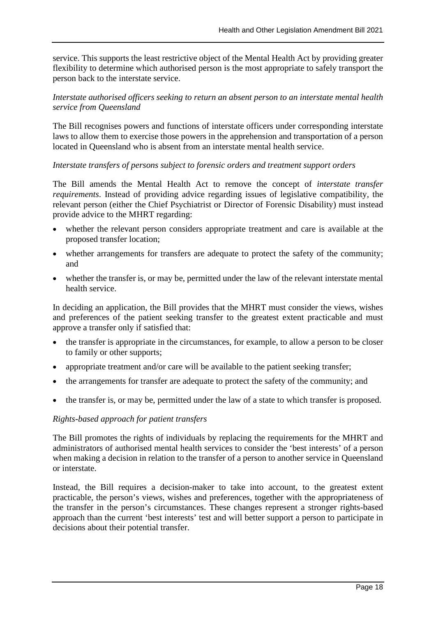service. This supports the least restrictive object of the Mental Health Act by providing greater flexibility to determine which authorised person is the most appropriate to safely transport the person back to the interstate service.

### *Interstate authorised officers seeking to return an absent person to an interstate mental health service from Queensland*

The Bill recognises powers and functions of interstate officers under corresponding interstate laws to allow them to exercise those powers in the apprehension and transportation of a person located in Queensland who is absent from an interstate mental health service.

#### *Interstate transfers of persons subject to forensic orders and treatment support orders*

The Bill amends the Mental Health Act to remove the concept of *interstate transfer requirements*. Instead of providing advice regarding issues of legislative compatibility, the relevant person (either the Chief Psychiatrist or Director of Forensic Disability) must instead provide advice to the MHRT regarding:

- whether the relevant person considers appropriate treatment and care is available at the proposed transfer location;
- whether arrangements for transfers are adequate to protect the safety of the community; and
- whether the transfer is, or may be, permitted under the law of the relevant interstate mental health service.

In deciding an application, the Bill provides that the MHRT must consider the views, wishes and preferences of the patient seeking transfer to the greatest extent practicable and must approve a transfer only if satisfied that:

- the transfer is appropriate in the circumstances, for example, to allow a person to be closer to family or other supports;
- appropriate treatment and/or care will be available to the patient seeking transfer;
- the arrangements for transfer are adequate to protect the safety of the community; and
- the transfer is, or may be, permitted under the law of a state to which transfer is proposed.

#### *Rights-based approach for patient transfers*

The Bill promotes the rights of individuals by replacing the requirements for the MHRT and administrators of authorised mental health services to consider the 'best interests' of a person when making a decision in relation to the transfer of a person to another service in Queensland or interstate.

Instead, the Bill requires a decision-maker to take into account, to the greatest extent practicable, the person's views, wishes and preferences, together with the appropriateness of the transfer in the person's circumstances. These changes represent a stronger rights-based approach than the current 'best interests' test and will better support a person to participate in decisions about their potential transfer.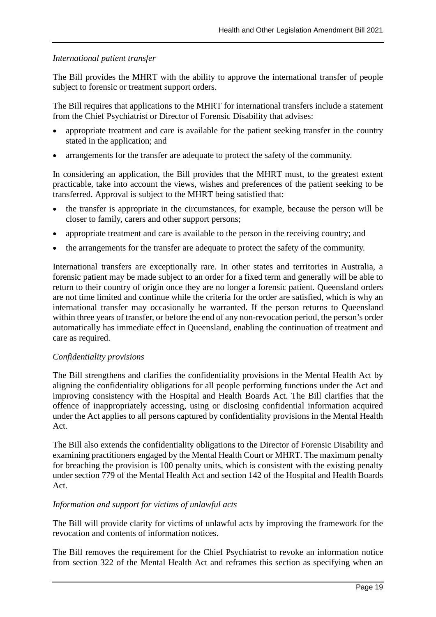#### *International patient transfer*

The Bill provides the MHRT with the ability to approve the international transfer of people subject to forensic or treatment support orders.

The Bill requires that applications to the MHRT for international transfers include a statement from the Chief Psychiatrist or Director of Forensic Disability that advises:

- appropriate treatment and care is available for the patient seeking transfer in the country stated in the application; and
- arrangements for the transfer are adequate to protect the safety of the community.

In considering an application, the Bill provides that the MHRT must, to the greatest extent practicable, take into account the views, wishes and preferences of the patient seeking to be transferred. Approval is subject to the MHRT being satisfied that:

- the transfer is appropriate in the circumstances, for example, because the person will be closer to family, carers and other support persons;
- appropriate treatment and care is available to the person in the receiving country; and
- the arrangements for the transfer are adequate to protect the safety of the community.

International transfers are exceptionally rare. In other states and territories in Australia, a forensic patient may be made subject to an order for a fixed term and generally will be able to return to their country of origin once they are no longer a forensic patient. Queensland orders are not time limited and continue while the criteria for the order are satisfied, which is why an international transfer may occasionally be warranted. If the person returns to Queensland within three years of transfer, or before the end of any non-revocation period, the person's order automatically has immediate effect in Queensland, enabling the continuation of treatment and care as required.

#### *Confidentiality provisions*

The Bill strengthens and clarifies the confidentiality provisions in the Mental Health Act by aligning the confidentiality obligations for all people performing functions under the Act and improving consistency with the Hospital and Health Boards Act. The Bill clarifies that the offence of inappropriately accessing, using or disclosing confidential information acquired under the Act applies to all persons captured by confidentiality provisions in the Mental Health Act.

The Bill also extends the confidentiality obligations to the Director of Forensic Disability and examining practitioners engaged by the Mental Health Court or MHRT. The maximum penalty for breaching the provision is 100 penalty units, which is consistent with the existing penalty under section 779 of the Mental Health Act and section 142 of the Hospital and Health Boards Act.

#### *Information and support for victims of unlawful acts*

The Bill will provide clarity for victims of unlawful acts by improving the framework for the revocation and contents of information notices.

The Bill removes the requirement for the Chief Psychiatrist to revoke an information notice from section 322 of the Mental Health Act and reframes this section as specifying when an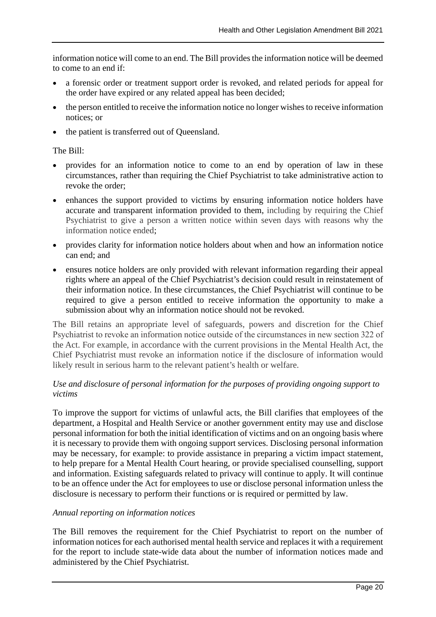information notice will come to an end. The Bill provides the information notice will be deemed to come to an end if:

- a forensic order or treatment support order is revoked, and related periods for appeal for the order have expired or any related appeal has been decided;
- the person entitled to receive the information notice no longer wishes to receive information notices; or
- the patient is transferred out of Queensland.

#### The Bill:

- provides for an information notice to come to an end by operation of law in these circumstances, rather than requiring the Chief Psychiatrist to take administrative action to revoke the order;
- enhances the support provided to victims by ensuring information notice holders have accurate and transparent information provided to them, including by requiring the Chief Psychiatrist to give a person a written notice within seven days with reasons why the information notice ended;
- provides clarity for information notice holders about when and how an information notice can end; and
- ensures notice holders are only provided with relevant information regarding their appeal rights where an appeal of the Chief Psychiatrist's decision could result in reinstatement of their information notice. In these circumstances, the Chief Psychiatrist will continue to be required to give a person entitled to receive information the opportunity to make a submission about why an information notice should not be revoked.

The Bill retains an appropriate level of safeguards, powers and discretion for the Chief Psychiatrist to revoke an information notice outside of the circumstances in new section 322 of the Act. For example, in accordance with the current provisions in the Mental Health Act, the Chief Psychiatrist must revoke an information notice if the disclosure of information would likely result in serious harm to the relevant patient's health or welfare.

### *Use and disclosure of personal information for the purposes of providing ongoing support to victims*

To improve the support for victims of unlawful acts, the Bill clarifies that employees of the department, a Hospital and Health Service or another government entity may use and disclose personal information for both the initial identification of victims and on an ongoing basis where it is necessary to provide them with ongoing support services. Disclosing personal information may be necessary, for example: to provide assistance in preparing a victim impact statement, to help prepare for a Mental Health Court hearing, or provide specialised counselling, support and information. Existing safeguards related to privacy will continue to apply. It will continue to be an offence under the Act for employees to use or disclose personal information unless the disclosure is necessary to perform their functions or is required or permitted by law.

### *Annual reporting on information notices*

The Bill removes the requirement for the Chief Psychiatrist to report on the number of information notices for each authorised mental health service and replaces it with a requirement for the report to include state-wide data about the number of information notices made and administered by the Chief Psychiatrist.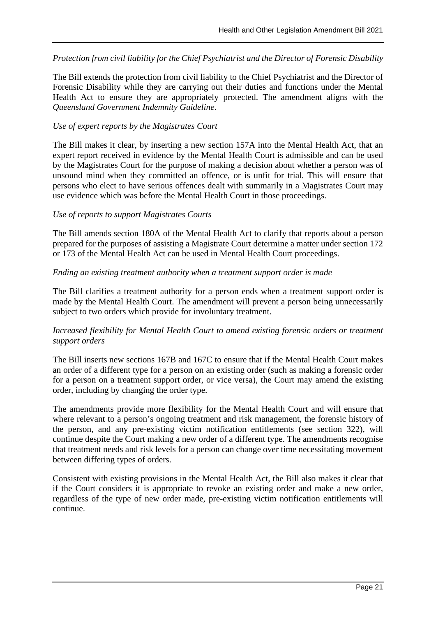*Protection from civil liability for the Chief Psychiatrist and the Director of Forensic Disability* 

The Bill extends the protection from civil liability to the Chief Psychiatrist and the Director of Forensic Disability while they are carrying out their duties and functions under the Mental Health Act to ensure they are appropriately protected. The amendment aligns with the *Queensland Government Indemnity Guideline*.

#### *Use of expert reports by the Magistrates Court*

The Bill makes it clear, by inserting a new section 157A into the Mental Health Act, that an expert report received in evidence by the Mental Health Court is admissible and can be used by the Magistrates Court for the purpose of making a decision about whether a person was of unsound mind when they committed an offence, or is unfit for trial. This will ensure that persons who elect to have serious offences dealt with summarily in a Magistrates Court may use evidence which was before the Mental Health Court in those proceedings.

#### *Use of reports to support Magistrates Courts*

The Bill amends section 180A of the Mental Health Act to clarify that reports about a person prepared for the purposes of assisting a Magistrate Court determine a matter under section 172 or 173 of the Mental Health Act can be used in Mental Health Court proceedings.

#### *Ending an existing treatment authority when a treatment support order is made*

The Bill clarifies a treatment authority for a person ends when a treatment support order is made by the Mental Health Court. The amendment will prevent a person being unnecessarily subject to two orders which provide for involuntary treatment.

### *Increased flexibility for Mental Health Court to amend existing forensic orders or treatment support orders*

The Bill inserts new sections 167B and 167C to ensure that if the Mental Health Court makes an order of a different type for a person on an existing order (such as making a forensic order for a person on a treatment support order, or vice versa), the Court may amend the existing order, including by changing the order type.

The amendments provide more flexibility for the Mental Health Court and will ensure that where relevant to a person's ongoing treatment and risk management, the forensic history of the person, and any pre-existing victim notification entitlements (see section 322), will continue despite the Court making a new order of a different type. The amendments recognise that treatment needs and risk levels for a person can change over time necessitating movement between differing types of orders.

Consistent with existing provisions in the Mental Health Act, the Bill also makes it clear that if the Court considers it is appropriate to revoke an existing order and make a new order, regardless of the type of new order made, pre-existing victim notification entitlements will continue.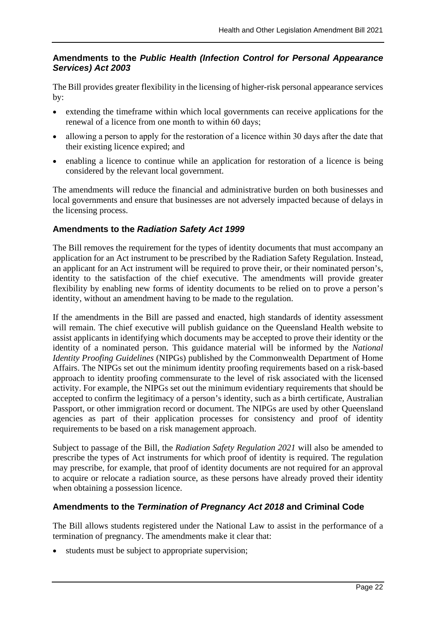## **Amendments to the** *Public Health (Infection Control for Personal Appearance Services) Act 2003*

The Bill provides greater flexibility in the licensing of higher-risk personal appearance services by:

- extending the timeframe within which local governments can receive applications for the renewal of a licence from one month to within 60 days;
- allowing a person to apply for the restoration of a licence within 30 days after the date that their existing licence expired; and
- enabling a licence to continue while an application for restoration of a licence is being considered by the relevant local government.

The amendments will reduce the financial and administrative burden on both businesses and local governments and ensure that businesses are not adversely impacted because of delays in the licensing process.

## **Amendments to the** *Radiation Safety Act 1999*

The Bill removes the requirement for the types of identity documents that must accompany an application for an Act instrument to be prescribed by the Radiation Safety Regulation. Instead, an applicant for an Act instrument will be required to prove their, or their nominated person's, identity to the satisfaction of the chief executive. The amendments will provide greater flexibility by enabling new forms of identity documents to be relied on to prove a person's identity, without an amendment having to be made to the regulation.

If the amendments in the Bill are passed and enacted, high standards of identity assessment will remain. The chief executive will publish guidance on the Queensland Health website to assist applicants in identifying which documents may be accepted to prove their identity or the identity of a nominated person. This guidance material will be informed by the *National Identity Proofing Guidelines* (NIPGs) published by the Commonwealth Department of Home Affairs. The NIPGs set out the minimum identity proofing requirements based on a risk-based approach to identity proofing commensurate to the level of risk associated with the licensed activity. For example, the NIPGs set out the minimum evidentiary requirements that should be accepted to confirm the legitimacy of a person's identity, such as a birth certificate, Australian Passport, or other immigration record or document. The NIPGs are used by other Queensland agencies as part of their application processes for consistency and proof of identity requirements to be based on a risk management approach.

Subject to passage of the Bill, the *Radiation Safety Regulation 2021* will also be amended to prescribe the types of Act instruments for which proof of identity is required. The regulation may prescribe, for example, that proof of identity documents are not required for an approval to acquire or relocate a radiation source, as these persons have already proved their identity when obtaining a possession licence.

## **Amendments to the** *Termination of Pregnancy Act 2018* **and Criminal Code**

The Bill allows students registered under the National Law to assist in the performance of a termination of pregnancy. The amendments make it clear that:

• students must be subject to appropriate supervision;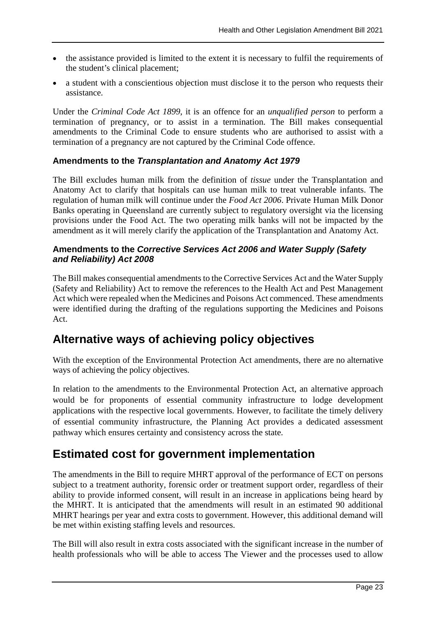- the assistance provided is limited to the extent it is necessary to fulfil the requirements of the student's clinical placement;
- a student with a conscientious objection must disclose it to the person who requests their assistance.

Under the *Criminal Code Act 1899*, it is an offence for an *unqualified person* to perform a termination of pregnancy, or to assist in a termination. The Bill makes consequential amendments to the Criminal Code to ensure students who are authorised to assist with a termination of a pregnancy are not captured by the Criminal Code offence.

## **Amendments to the** *Transplantation and Anatomy Act 1979*

The Bill excludes human milk from the definition of *tissue* under the Transplantation and Anatomy Act to clarify that hospitals can use human milk to treat vulnerable infants. The regulation of human milk will continue under the *Food Act 2006*. Private Human Milk Donor Banks operating in Queensland are currently subject to regulatory oversight via the licensing provisions under the Food Act. The two operating milk banks will not be impacted by the amendment as it will merely clarify the application of the Transplantation and Anatomy Act.

## **Amendments to the** *Corrective Services Act 2006 and Water Supply (Safety and Reliability) Act 2008*

The Bill makes consequential amendments to the Corrective Services Act and the Water Supply (Safety and Reliability) Act to remove the references to the Health Act and Pest Management Act which were repealed when the Medicines and Poisons Act commenced. These amendments were identified during the drafting of the regulations supporting the Medicines and Poisons Act.

## **Alternative ways of achieving policy objectives**

With the exception of the Environmental Protection Act amendments, there are no alternative ways of achieving the policy objectives.

In relation to the amendments to the Environmental Protection Act, an alternative approach would be for proponents of essential community infrastructure to lodge development applications with the respective local governments. However, to facilitate the timely delivery of essential community infrastructure, the Planning Act provides a dedicated assessment pathway which ensures certainty and consistency across the state.

## **Estimated cost for government implementation**

The amendments in the Bill to require MHRT approval of the performance of ECT on persons subject to a treatment authority, forensic order or treatment support order, regardless of their ability to provide informed consent, will result in an increase in applications being heard by the MHRT. It is anticipated that the amendments will result in an estimated 90 additional MHRT hearings per year and extra costs to government. However, this additional demand will be met within existing staffing levels and resources.

The Bill will also result in extra costs associated with the significant increase in the number of health professionals who will be able to access The Viewer and the processes used to allow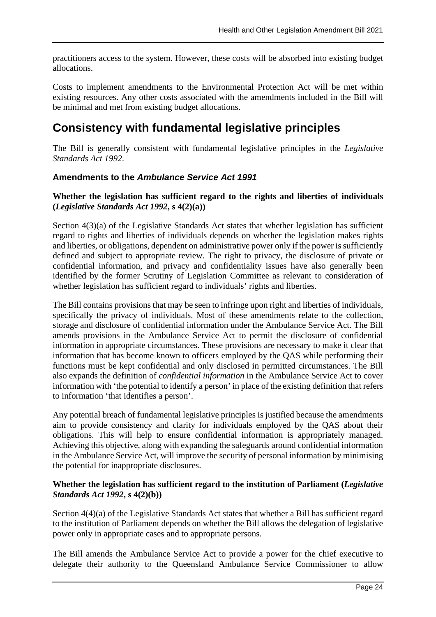practitioners access to the system. However, these costs will be absorbed into existing budget allocations.

Costs to implement amendments to the Environmental Protection Act will be met within existing resources. Any other costs associated with the amendments included in the Bill will be minimal and met from existing budget allocations.

## **Consistency with fundamental legislative principles**

The Bill is generally consistent with fundamental legislative principles in the *Legislative Standards Act 1992*.

## **Amendments to the** *Ambulance Service Act 1991*

#### *43T***Whether the legislation has sufficient regard to the rights and liberties of individuals (***Legislative Standards Act 1992***, s 4(2)(a))***43T*

Section 4(3)(a) of the Legislative Standards Act states that whether legislation has sufficient regard to rights and liberties of individuals depends on whether the legislation makes rights and liberties, or obligations, dependent on administrative power only if the power is sufficiently defined and subject to appropriate review. The right to privacy, the disclosure of private or confidential information, and privacy and confidentiality issues have also generally been identified by the former Scrutiny of Legislation Committee as relevant to consideration of whether legislation has sufficient regard to individuals' rights and liberties.

The Bill contains provisions that may be seen to infringe upon right and liberties of individuals, specifically the privacy of individuals. Most of these amendments relate to the collection, storage and disclosure of confidential information under the Ambulance Service Act. The Bill amends provisions in the Ambulance Service Act to permit the disclosure of confidential information in appropriate circumstances. These provisions are necessary to make it clear that information that has become known to officers employed by the QAS while performing their functions must be kept confidential and only disclosed in permitted circumstances. The Bill also expands the definition of *confidential information* in the Ambulance Service Act to cover information with 'the potential to identify a person' in place of the existing definition that refers to information 'that identifies a person'.

Any potential breach of fundamental legislative principles is justified because the amendments aim to provide consistency and clarity for individuals employed by the QAS about their obligations. This will help to ensure confidential information is appropriately managed. Achieving this objective, along with expanding the safeguards around confidential information in the Ambulance Service Act, will improve the security of personal information by minimising the potential for inappropriate disclosures.

#### *43T***Whether the legislation has sufficient regard to the institution of Parliament (***Legislative Standards Act 1992***, s 4(2)(b))**

Section  $4(4)(a)$  of the Legislative Standards Act states that whether a Bill has sufficient regard to the institution of Parliament depends on whether the Bill allows the delegation of legislative power only in appropriate cases and to appropriate persons.

The Bill amends the Ambulance Service Act to provide a power for the chief executive to delegate their authority to the Queensland Ambulance Service Commissioner to allow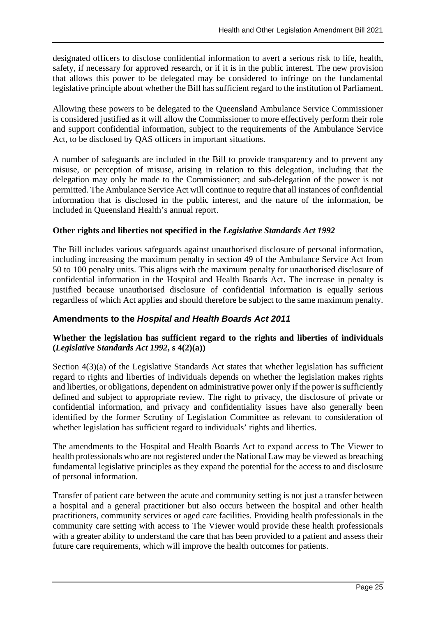designated officers to disclose confidential information to avert a serious risk to life, health, safety, if necessary for approved research, or if it is in the public interest. The new provision that allows this power to be delegated may be considered to infringe on the fundamental legislative principle about whether the Bill has sufficient regard to the institution of Parliament.

Allowing these powers to be delegated to the Queensland Ambulance Service Commissioner is considered justified as it will allow the Commissioner to more effectively perform their role and support confidential information, subject to the requirements of the Ambulance Service Act, to be disclosed by QAS officers in important situations.

A number of safeguards are included in the Bill to provide transparency and to prevent any misuse, or perception of misuse, arising in relation to this delegation, including that the delegation may only be made to the Commissioner; and sub-delegation of the power is not permitted. The Ambulance Service Act will continue to require that all instances of confidential information that is disclosed in the public interest, and the nature of the information, be included in Queensland Health's annual report.

### *43T***Other rights and liberties not specified in the** *Legislative Standards Act 1992*

The Bill includes various safeguards against unauthorised disclosure of personal information, including increasing the maximum penalty in section 49 of the Ambulance Service Act from 50 to 100 penalty units. This aligns with the maximum penalty for unauthorised disclosure of confidential information in the Hospital and Health Boards Act. The increase in penalty is justified because unauthorised disclosure of confidential information is equally serious regardless of which Act applies and should therefore be subject to the same maximum penalty.

### *43T***Amendments to the** *Hospital and Health Boards Act 2011*

### *43T***Whether the legislation has sufficient regard to the rights and liberties of individuals (***Legislative Standards Act 1992***, s 4(2)(a))***43T*

Section 4(3)(a) of the Legislative Standards Act states that whether legislation has sufficient regard to rights and liberties of individuals depends on whether the legislation makes rights and liberties, or obligations, dependent on administrative power only if the power is sufficiently defined and subject to appropriate review. The right to privacy, the disclosure of private or confidential information, and privacy and confidentiality issues have also generally been identified by the former Scrutiny of Legislation Committee as relevant to consideration of whether legislation has sufficient regard to individuals' rights and liberties.

The amendments to the Hospital and Health Boards Act to expand access to The Viewer to health professionals who are not registered under the National Law may be viewed as breaching fundamental legislative principles as they expand the potential for the access to and disclosure of personal information.

Transfer of patient care between the acute and community setting is not just a transfer between a hospital and a general practitioner but also occurs between the hospital and other health practitioners, community services or aged care facilities. Providing health professionals in the community care setting with access to The Viewer would provide these health professionals with a greater ability to understand the care that has been provided to a patient and assess their future care requirements, which will improve the health outcomes for patients.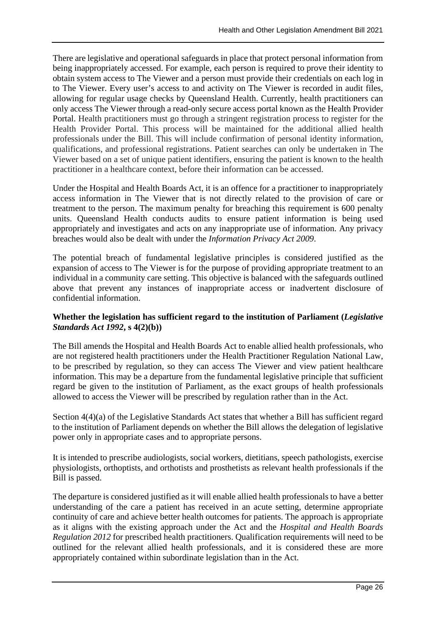There are legislative and operational safeguards in place that protect personal information from being inappropriately accessed. For example, each person is required to prove their identity to obtain system access to The Viewer and a person must provide their credentials on each log in to The Viewer. Every user's access to and activity on The Viewer is recorded in audit files, allowing for regular usage checks by Queensland Health. Currently, health practitioners can only access The Viewer through a read-only secure access portal known as the Health Provider Portal. Health practitioners must go through a stringent registration process to register for the Health Provider Portal. This process will be maintained for the additional allied health professionals under the Bill. This will include confirmation of personal identity information, qualifications, and professional registrations. Patient searches can only be undertaken in The Viewer based on a set of unique patient identifiers, ensuring the patient is known to the health practitioner in a healthcare context, before their information can be accessed.

Under the Hospital and Health Boards Act, it is an offence for a practitioner to inappropriately access information in The Viewer that is not directly related to the provision of care or treatment to the person. The maximum penalty for breaching this requirement is 600 penalty units. Queensland Health conducts audits to ensure patient information is being used appropriately and investigates and acts on any inappropriate use of information. Any privacy breaches would also be dealt with under the *Information Privacy Act 2009*.

The potential breach of fundamental legislative principles is considered justified as the expansion of access to The Viewer is for the purpose of providing appropriate treatment to an individual in a community care setting. This objective is balanced with the safeguards outlined above that prevent any instances of inappropriate access or inadvertent disclosure of confidential information.

### *43T***Whether the legislation has sufficient regard to the institution of Parliament (***Legislative Standards Act 1992***, s 4(2)(b))**

The Bill amends the Hospital and Health Boards Act to enable allied health professionals, who are not registered health practitioners under the Health Practitioner Regulation National Law, to be prescribed by regulation, so they can access The Viewer and view patient healthcare information. This may be a departure from the fundamental legislative principle that sufficient regard be given to the institution of Parliament, as the exact groups of health professionals allowed to access the Viewer will be prescribed by regulation rather than in the Act.

Section  $4(4)(a)$  of the Legislative Standards Act states that whether a Bill has sufficient regard to the institution of Parliament depends on whether the Bill allows the delegation of legislative power only in appropriate cases and to appropriate persons.

It is intended to prescribe audiologists, social workers, dietitians, speech pathologists, exercise physiologists, orthoptists, and orthotists and prosthetists as relevant health professionals if the Bill is passed.

The departure is considered justified as it will enable allied health professionals to have a better understanding of the care a patient has received in an acute setting, determine appropriate continuity of care and achieve better health outcomes for patients. The approach is appropriate as it aligns with the existing approach under the Act and the *Hospital and Health Boards Regulation 2012* for prescribed health practitioners. Qualification requirements will need to be outlined for the relevant allied health professionals, and it is considered these are more appropriately contained within subordinate legislation than in the Act.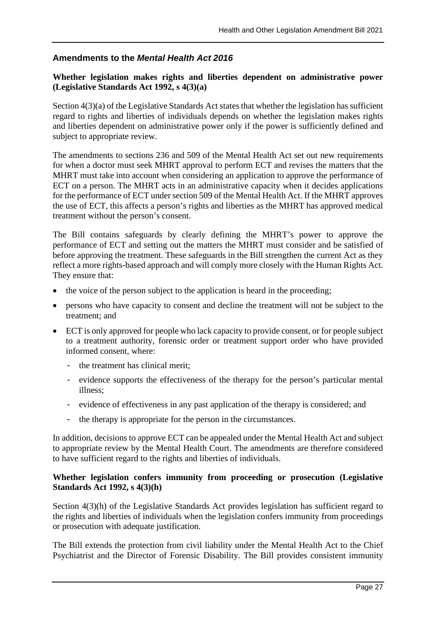## *43T***Amendments to the** *Mental Health Act 201643T*

### *43T***Whether legislation makes rights and liberties dependent on administrative power (Legislative Standards Act 1992, s 4(3)(a)**

Section 4(3)(a) of the Legislative Standards Act states that whether the legislation has sufficient regard to rights and liberties of individuals depends on whether the legislation makes rights and liberties dependent on administrative power only if the power is sufficiently defined and subject to appropriate review.

The amendments to sections 236 and 509 of the Mental Health Act set out new requirements for when a doctor must seek MHRT approval to perform ECT and revises the matters that the MHRT must take into account when considering an application to approve the performance of ECT on a person. The MHRT acts in an administrative capacity when it decides applications for the performance of ECT under section 509 of the Mental Health Act. If the MHRT approves the use of ECT, this affects a person's rights and liberties as the MHRT has approved medical treatment without the person's consent.

The Bill contains safeguards by clearly defining the MHRT's power to approve the performance of ECT and setting out the matters the MHRT must consider and be satisfied of before approving the treatment. These safeguards in the Bill strengthen the current Act as they reflect a more rights-based approach and will comply more closely with the Human Rights Act. They ensure that:

- the voice of the person subject to the application is heard in the proceeding;
- persons who have capacity to consent and decline the treatment will not be subject to the treatment; and
- ECT is only approved for people who lack capacity to provide consent, or for people subject to a treatment authority, forensic order or treatment support order who have provided informed consent, where:
	- the treatment has clinical merit;
	- evidence supports the effectiveness of the therapy for the person's particular mental illness;
	- evidence of effectiveness in any past application of the therapy is considered; and
	- the therapy is appropriate for the person in the circumstances.

In addition, decisions to approve ECT can be appealed under the Mental Health Act and subject to appropriate review by the Mental Health Court. The amendments are therefore considered to have sufficient regard to the rights and liberties of individuals.

#### *43T***Whether legislation confers immunity from proceeding or prosecution (Legislative Standards Act 1992, s 4(3)(h)**

Section  $4(3)(h)$  of the Legislative Standards Act provides legislation has sufficient regard to the rights and liberties of individuals when the legislation confers immunity from proceedings or prosecution with adequate justification.

The Bill extends the protection from civil liability under the Mental Health Act to the Chief Psychiatrist and the Director of Forensic Disability. The Bill provides consistent immunity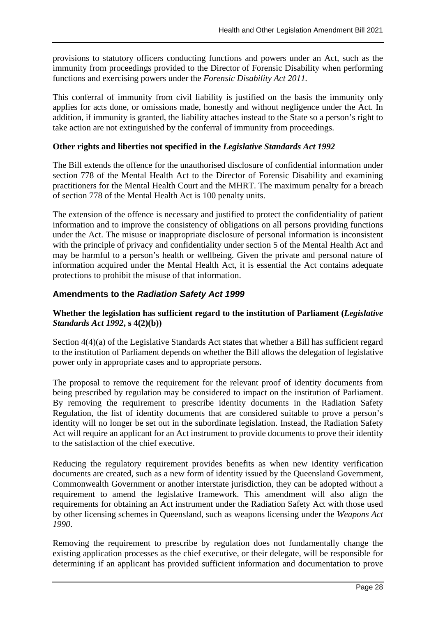provisions to statutory officers conducting functions and powers under an Act, such as the immunity from proceedings provided to the Director of Forensic Disability when performing functions and exercising powers under the *Forensic Disability Act 2011.*

This conferral of immunity from civil liability is justified on the basis the immunity only applies for acts done, or omissions made, honestly and without negligence under the Act. In addition, if immunity is granted, the liability attaches instead to the State so a person's right to take action are not extinguished by the conferral of immunity from proceedings.

#### *43T***Other rights and liberties not specified in the** *Legislative Standards Act 1992*

The Bill extends the offence for the unauthorised disclosure of confidential information under section 778 of the Mental Health Act to the Director of Forensic Disability and examining practitioners for the Mental Health Court and the MHRT. The maximum penalty for a breach of section 778 of the Mental Health Act is 100 penalty units.

The extension of the offence is necessary and justified to protect the confidentiality of patient information and to improve the consistency of obligations on all persons providing functions under the Act. The misuse or inappropriate disclosure of personal information is inconsistent with the principle of privacy and confidentiality under section 5 of the Mental Health Act and may be harmful to a person's health or wellbeing. Given the private and personal nature of information acquired under the Mental Health Act, it is essential the Act contains adequate protections to prohibit the misuse of that information.

### *19T***Amendments to the** *Radiation Safety Act 1999*

#### *43T***Whether the legislation has sufficient regard to the institution of Parliament (***Legislative Standards Act 1992***, s 4(2)(b))**

Section 4(4)(a) of the Legislative Standards Act states that whether a Bill has sufficient regard to the institution of Parliament depends on whether the Bill allows the delegation of legislative power only in appropriate cases and to appropriate persons.

The proposal to remove the requirement for the relevant proof of identity documents from being prescribed by regulation may be considered to impact on the institution of Parliament. By removing the requirement to prescribe identity documents in the Radiation Safety Regulation, the list of identity documents that are considered suitable to prove a person's identity will no longer be set out in the subordinate legislation. Instead, the Radiation Safety Act will require an applicant for an Act instrument to provide documents to prove their identity to the satisfaction of the chief executive.

Reducing the regulatory requirement provides benefits as when new identity verification documents are created, such as a new form of identity issued by the Queensland Government, Commonwealth Government or another interstate jurisdiction, they can be adopted without a requirement to amend the legislative framework. This amendment will also align the requirements for obtaining an Act instrument under the Radiation Safety Act with those used by other licensing schemes in Queensland, such as weapons licensing under the *Weapons Act 1990*.

Removing the requirement to prescribe by regulation does not fundamentally change the existing application processes as the chief executive, or their delegate, will be responsible for determining if an applicant has provided sufficient information and documentation to prove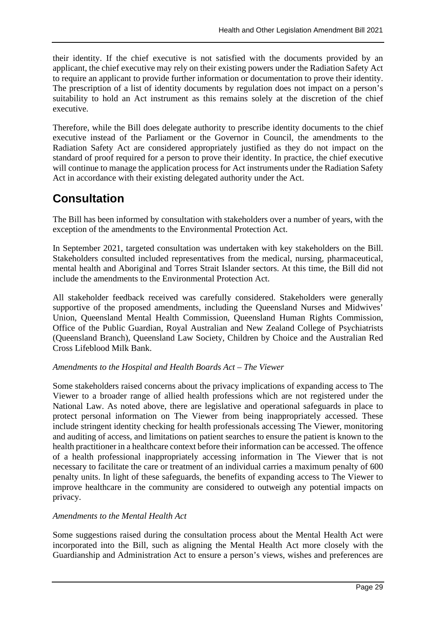their identity. If the chief executive is not satisfied with the documents provided by an applicant, the chief executive may rely on their existing powers under the Radiation Safety Act to require an applicant to provide further information or documentation to prove their identity. The prescription of a list of identity documents by regulation does not impact on a person's suitability to hold an Act instrument as this remains solely at the discretion of the chief executive.

Therefore, while the Bill does delegate authority to prescribe identity documents to the chief executive instead of the Parliament or the Governor in Council, the amendments to the Radiation Safety Act are considered appropriately justified as they do not impact on the standard of proof required for a person to prove their identity. In practice, the chief executive will continue to manage the application process for Act instruments under the Radiation Safety Act in accordance with their existing delegated authority under the Act.

## **Consultation**

The Bill has been informed by consultation with stakeholders over a number of years, with the exception of the amendments to the Environmental Protection Act.

In September 2021, targeted consultation was undertaken with key stakeholders on the Bill. Stakeholders consulted included representatives from the medical, nursing, pharmaceutical, mental health and Aboriginal and Torres Strait Islander sectors. At this time, the Bill did not include the amendments to the Environmental Protection Act.

All stakeholder feedback received was carefully considered. Stakeholders were generally supportive of the proposed amendments, including the Queensland Nurses and Midwives' Union, Queensland Mental Health Commission, Queensland Human Rights Commission, Office of the Public Guardian, Royal Australian and New Zealand College of Psychiatrists (Queensland Branch), Queensland Law Society, Children by Choice and the Australian Red Cross Lifeblood Milk Bank.

### *Amendments to the Hospital and Health Boards Act – The Viewer*

Some stakeholders raised concerns about the privacy implications of expanding access to The Viewer to a broader range of allied health professions which are not registered under the National Law. As noted above, there are legislative and operational safeguards in place to protect personal information on The Viewer from being inappropriately accessed. These include stringent identity checking for health professionals accessing The Viewer, monitoring and auditing of access, and limitations on patient searches to ensure the patient is known to the health practitioner in a healthcare context before their information can be accessed. The offence of a health professional inappropriately accessing information in The Viewer that is not necessary to facilitate the care or treatment of an individual carries a maximum penalty of 600 penalty units. In light of these safeguards, the benefits of expanding access to The Viewer to improve healthcare in the community are considered to outweigh any potential impacts on privacy.

#### *Amendments to the Mental Health Act*

Some suggestions raised during the consultation process about the Mental Health Act were incorporated into the Bill, such as aligning the Mental Health Act more closely with the Guardianship and Administration Act to ensure a person's views, wishes and preferences are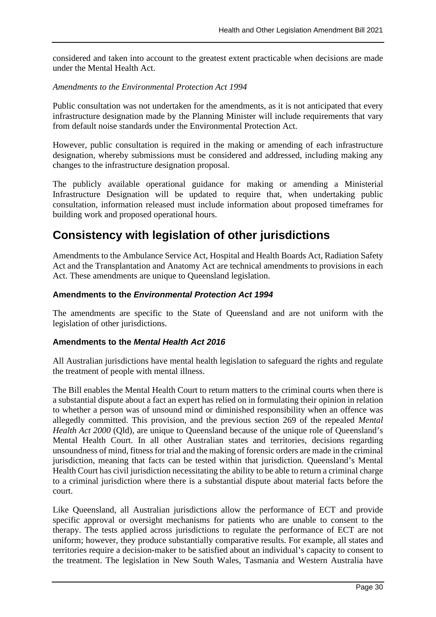considered and taken into account to the greatest extent practicable when decisions are made under the Mental Health Act.

#### *Amendments to the Environmental Protection Act 1994*

Public consultation was not undertaken for the amendments, as it is not anticipated that every infrastructure designation made by the Planning Minister will include requirements that vary from default noise standards under the Environmental Protection Act.

However, public consultation is required in the making or amending of each infrastructure designation, whereby submissions must be considered and addressed, including making any changes to the infrastructure designation proposal.

The publicly available operational guidance for making or amending a Ministerial Infrastructure Designation will be updated to require that, when undertaking public consultation, information released must include information about proposed timeframes for building work and proposed operational hours.

## **Consistency with legislation of other jurisdictions**

Amendments to the Ambulance Service Act, Hospital and Health Boards Act, Radiation Safety Act and the Transplantation and Anatomy Act are technical amendments to provisions in each Act. These amendments are unique to Queensland legislation.

### **Amendments to the** *Environmental Protection Act 1994*

The amendments are specific to the State of Queensland and are not uniform with the legislation of other jurisdictions.

#### *43T***Amendments to the** *Mental Health Act 2016*

All Australian jurisdictions have mental health legislation to safeguard the rights and regulate the treatment of people with mental illness.

The Bill enables the Mental Health Court to return matters to the criminal courts when there is a substantial dispute about a fact an expert has relied on in formulating their opinion in relation to whether a person was of unsound mind or diminished responsibility when an offence was allegedly committed. This provision, and the previous section 269 of the repealed *Mental Health Act 2000* (Qld), are unique to Queensland because of the unique role of Queensland's Mental Health Court. In all other Australian states and territories, decisions regarding unsoundness of mind, fitness for trial and the making of forensic orders are made in the criminal jurisdiction, meaning that facts can be tested within that jurisdiction. Queensland's Mental Health Court has civil jurisdiction necessitating the ability to be able to return a criminal charge to a criminal jurisdiction where there is a substantial dispute about material facts before the court.

Like Queensland, all Australian jurisdictions allow the performance of ECT and provide specific approval or oversight mechanisms for patients who are unable to consent to the therapy. The tests applied across jurisdictions to regulate the performance of ECT are not uniform; however, they produce substantially comparative results. For example, all states and territories require a decision-maker to be satisfied about an individual's capacity to consent to the treatment. The legislation in New South Wales, Tasmania and Western Australia have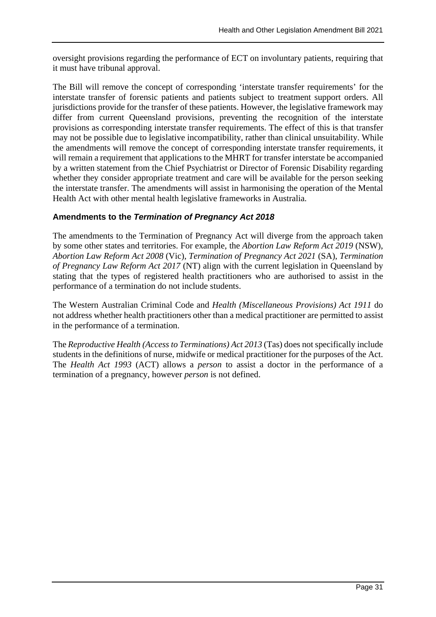oversight provisions regarding the performance of ECT on involuntary patients, requiring that it must have tribunal approval.

The Bill will remove the concept of corresponding 'interstate transfer requirements' for the interstate transfer of forensic patients and patients subject to treatment support orders. All jurisdictions provide for the transfer of these patients. However, the legislative framework may differ from current Queensland provisions, preventing the recognition of the interstate provisions as corresponding interstate transfer requirements. The effect of this is that transfer may not be possible due to legislative incompatibility, rather than clinical unsuitability. While the amendments will remove the concept of corresponding interstate transfer requirements, it will remain a requirement that applications to the MHRT for transfer interstate be accompanied by a written statement from the Chief Psychiatrist or Director of Forensic Disability regarding whether they consider appropriate treatment and care will be available for the person seeking the interstate transfer. The amendments will assist in harmonising the operation of the Mental Health Act with other mental health legislative frameworks in Australia.

## *43T***Amendments to the** *Termination of Pregnancy Act 2018*

The amendments to the Termination of Pregnancy Act will diverge from the approach taken by some other states and territories. For example, the *Abortion Law Reform Act 2019* (NSW), *Abortion Law Reform Act 2008* (Vic), *Termination of Pregnancy Act 2021* (SA), *Termination of Pregnancy Law Reform Act 2017* (NT) align with the current legislation in Queensland by stating that the types of registered health practitioners who are authorised to assist in the performance of a termination do not include students.

The Western Australian Criminal Code and *Health (Miscellaneous Provisions) Act 1911* do not address whether health practitioners other than a medical practitioner are permitted to assist in the performance of a termination.

The *Reproductive Health (Access to Terminations) Act 2013* (Tas) does not specifically include students in the definitions of nurse, midwife or medical practitioner for the purposes of the Act. The *Health Act 1993* (ACT) allows a *person* to assist a doctor in the performance of a termination of a pregnancy, however *person* is not defined.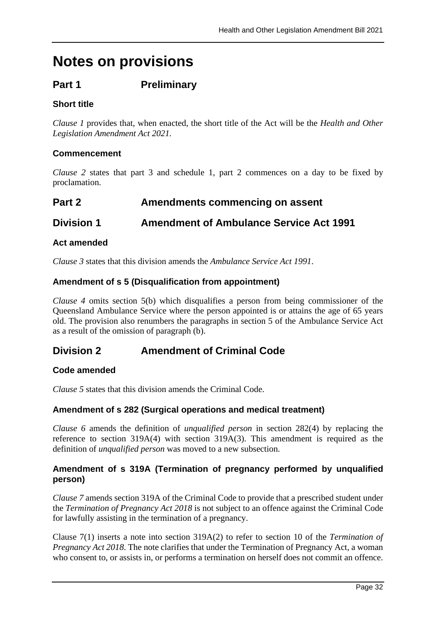# **Notes on provisions**

## **Part 1 Preliminary**

## **Short title**

*Clause 1* provides that, when enacted, the short title of the Act will be the *Health and Other Legislation Amendment Act 2021.*

## **Commencement**

*Clause 2* states that part 3 and schedule 1, part 2 commences on a day to be fixed by proclamation.

## **Part 2 Amendments commencing on assent**

## **Division 1 Amendment of Ambulance Service Act 1991**

## **Act amended**

*Clause 3* states that this division amends the *Ambulance Service Act 1991*.

## **Amendment of s 5 (Disqualification from appointment)**

*Clause 4* omits section 5(b) which disqualifies a person from being commissioner of the Queensland Ambulance Service where the person appointed is or attains the age of 65 years old. The provision also renumbers the paragraphs in section 5 of the Ambulance Service Act as a result of the omission of paragraph (b).

## **Division 2 Amendment of Criminal Code**

### **Code amended**

*Clause 5* states that this division amends the Criminal Code.

## **Amendment of s 282 (Surgical operations and medical treatment)**

*Clause 6* amends the definition of *unqualified person* in section 282(4) by replacing the reference to section 319A(4) with section 319A(3). This amendment is required as the definition of *unqualified person* was moved to a new subsection.

## **Amendment of s 319A (Termination of pregnancy performed by unqualified person)**

*Clause 7* amends section 319A of the Criminal Code to provide that a prescribed student under the *Termination of Pregnancy Act 2018* is not subject to an offence against the Criminal Code for lawfully assisting in the termination of a pregnancy.

Clause 7(1) inserts a note into section 319A(2) to refer to section 10 of the *Termination of Pregnancy Act 2018*. The note clarifies that under the Termination of Pregnancy Act, a woman who consent to, or assists in, or performs a termination on herself does not commit an offence.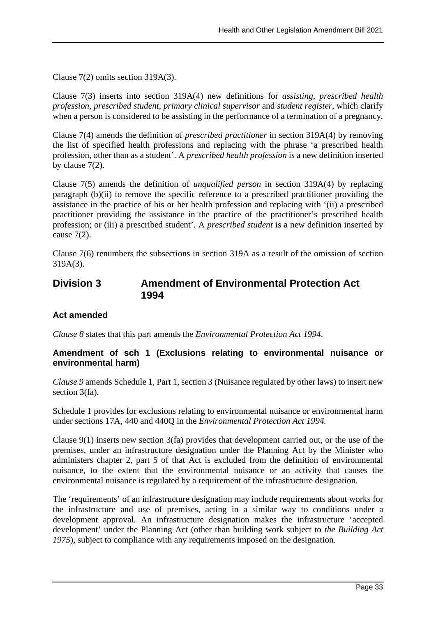Clause 7(2) omits section 319A(3).

Clause 7(3) inserts into section 319A(4) new definitions for *assisting*, *prescribed health profession*, *prescribed student*, *primary clinical supervisor* and *student register*, which clarify when a person is considered to be assisting in the performance of a termination of a pregnancy*.*

Clause 7(4) amends the definition of *prescribed practitioner* in section 319A(4) by removing the list of specified health professions and replacing with the phrase 'a prescribed health profession, other than as a student'. A *prescribed health profession* is a new definition inserted by clause 7(2).

Clause 7(5) amends the definition of *unqualified person* in section 319A(4) by replacing paragraph (b)(ii) to remove the specific reference to a prescribed practitioner providing the assistance in the practice of his or her health profession and replacing with '(ii) a prescribed practitioner providing the assistance in the practice of the practitioner's prescribed health profession; or (iii) a prescribed student'. A *prescribed student* is a new definition inserted by cause 7(2).

Clause 7(6) renumbers the subsections in section 319A as a result of the omission of section 319A(3).

## **Division 3 Amendment of Environmental Protection Act 1994**

## **Act amended**

*Clause 8* states that this part amends the *Environmental Protection Act 1994*.

#### **Amendment of sch 1 (Exclusions relating to environmental nuisance or environmental harm)**

*Clause 9* amends Schedule 1, Part 1, section 3 (Nuisance regulated by other laws) to insert new section 3(fa).

Schedule 1 provides for exclusions relating to environmental nuisance or environmental harm under sections 17A, 440 and 440Q in the *Environmental Protection Act 1994.*

Clause 9(1) inserts new section 3(fa) provides that development carried out, or the use of the premises, under an infrastructure designation under the Planning Act by the Minister who administers chapter 2, part 5 of that Act is excluded from the definition of environmental nuisance, to the extent that the environmental nuisance or an activity that causes the environmental nuisance is regulated by a requirement of the infrastructure designation.

The 'requirements' of an infrastructure designation may include requirements about works for the infrastructure and use of premises, acting in a similar way to conditions under a development approval. An infrastructure designation makes the infrastructure 'accepted development' under the Planning Act (other than building work subject to *the Building Act 1975*), subject to compliance with any requirements imposed on the designation.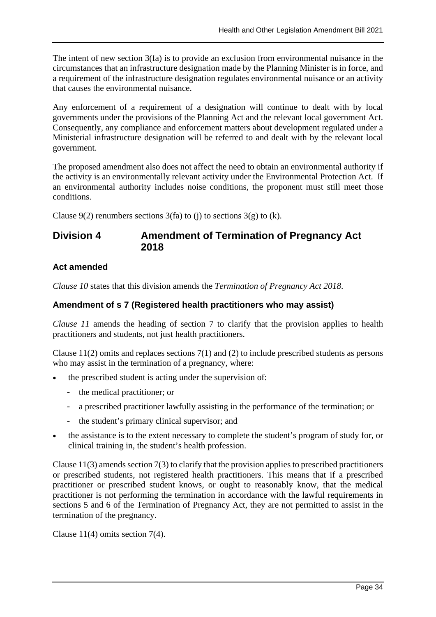The intent of new section 3(fa) is to provide an exclusion from environmental nuisance in the circumstances that an infrastructure designation made by the Planning Minister is in force, and a requirement of the infrastructure designation regulates environmental nuisance or an activity that causes the environmental nuisance.

Any enforcement of a requirement of a designation will continue to dealt with by local governments under the provisions of the Planning Act and the relevant local government Act. Consequently, any compliance and enforcement matters about development regulated under a Ministerial infrastructure designation will be referred to and dealt with by the relevant local government.

The proposed amendment also does not affect the need to obtain an environmental authority if the activity is an environmentally relevant activity under the Environmental Protection Act. If an environmental authority includes noise conditions, the proponent must still meet those conditions.

Clause  $9(2)$  renumbers sections  $3(fa)$  to (j) to sections  $3(g)$  to (k).

## **Division 4 Amendment of Termination of Pregnancy Act 2018**

## **Act amended**

*Clause 10* states that this division amends the *Termination of Pregnancy Act 2018*.

## **Amendment of s 7 (Registered health practitioners who may assist)**

*Clause 11* amends the heading of section 7 to clarify that the provision applies to health practitioners and students, not just health practitioners.

Clause 11(2) omits and replaces sections 7(1) and (2) to include prescribed students as persons who may assist in the termination of a pregnancy, where:

- the prescribed student is acting under the supervision of:
	- the medical practitioner; or
	- a prescribed practitioner lawfully assisting in the performance of the termination; or
	- the student's primary clinical supervisor; and
- the assistance is to the extent necessary to complete the student's program of study for, or clinical training in, the student's health profession.

Clause  $11(3)$  amends section  $7(3)$  to clarify that the provision applies to prescribed practitioners or prescribed students, not registered health practitioners. This means that if a prescribed practitioner or prescribed student knows, or ought to reasonably know, that the medical practitioner is not performing the termination in accordance with the lawful requirements in sections 5 and 6 of the Termination of Pregnancy Act, they are not permitted to assist in the termination of the pregnancy.

Clause 11(4) omits section 7(4).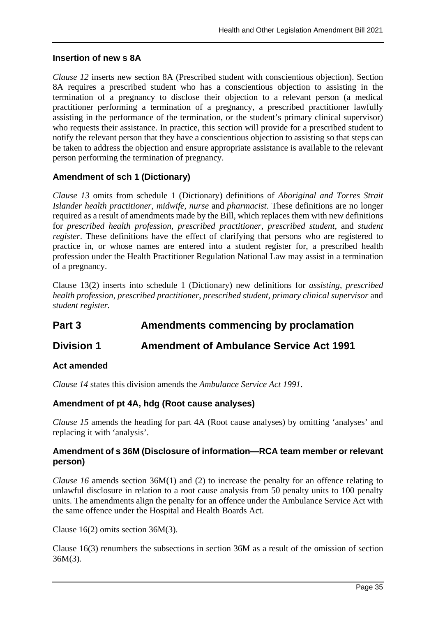#### **Insertion of new s 8A**

*Clause 12* inserts new section 8A (Prescribed student with conscientious objection). Section 8A requires a prescribed student who has a conscientious objection to assisting in the termination of a pregnancy to disclose their objection to a relevant person (a medical practitioner performing a termination of a pregnancy, a prescribed practitioner lawfully assisting in the performance of the termination, or the student's primary clinical supervisor) who requests their assistance. In practice, this section will provide for a prescribed student to notify the relevant person that they have a conscientious objection to assisting so that steps can be taken to address the objection and ensure appropriate assistance is available to the relevant person performing the termination of pregnancy.

## **Amendment of sch 1 (Dictionary)**

*Clause 13* omits from schedule 1 (Dictionary) definitions of *Aboriginal and Torres Strait Islander health practitioner*, *midwife*, *nurse* and *pharmacist*. These definitions are no longer required as a result of amendments made by the Bill, which replaces them with new definitions for *prescribed health profession*, *prescribed practitioner*, *prescribed student*, and *student register*. These definitions have the effect of clarifying that persons who are registered to practice in, or whose names are entered into a student register for, a prescribed health profession under the Health Practitioner Regulation National Law may assist in a termination of a pregnancy.

Clause 13(2) inserts into schedule 1 (Dictionary) new definitions for *assisting*, *prescribed health profession*, *prescribed practitioner*, *prescribed student, primary clinical supervisor* and *student register.* 

## **Part 3 Amendments commencing by proclamation**

## **Division 1 Amendment of Ambulance Service Act 1991**

### **Act amended**

*Clause 14* states this division amends the *Ambulance Service Act 1991*.

### **Amendment of pt 4A, hdg (Root cause analyses)**

*Clause 15* amends the heading for part 4A (Root cause analyses) by omitting 'analyses' and replacing it with 'analysis'.

### **Amendment of s 36M (Disclosure of information—RCA team member or relevant person)**

*Clause 16* amends section 36M(1) and (2) to increase the penalty for an offence relating to unlawful disclosure in relation to a root cause analysis from 50 penalty units to 100 penalty units. The amendments align the penalty for an offence under the Ambulance Service Act with the same offence under the Hospital and Health Boards Act.

Clause 16(2) omits section 36M(3).

Clause 16(3) renumbers the subsections in section 36M as a result of the omission of section 36M(3).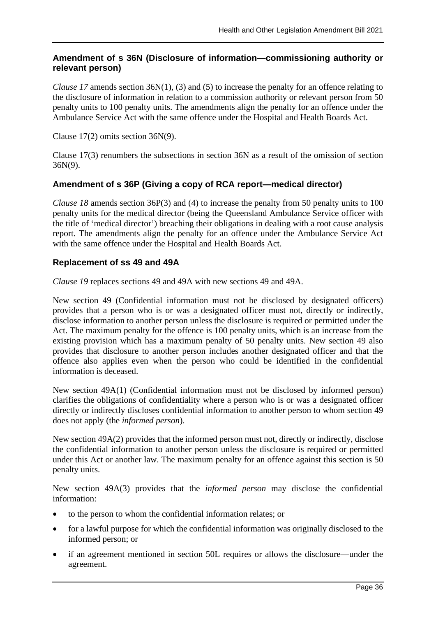## **Amendment of s 36N (Disclosure of information—commissioning authority or relevant person)**

*Clause* 17 amends section 36N(1), (3) and (5) to increase the penalty for an offence relating to the disclosure of information in relation to a commission authority or relevant person from 50 penalty units to 100 penalty units. The amendments align the penalty for an offence under the Ambulance Service Act with the same offence under the Hospital and Health Boards Act.

Clause 17(2) omits section 36N(9).

Clause 17(3) renumbers the subsections in section 36N as a result of the omission of section 36N(9).

## **Amendment of s 36P (Giving a copy of RCA report—medical director)**

*Clause 18* amends section 36P(3) and (4) to increase the penalty from 50 penalty units to 100 penalty units for the medical director (being the Queensland Ambulance Service officer with the title of 'medical director') breaching their obligations in dealing with a root cause analysis report. The amendments align the penalty for an offence under the Ambulance Service Act with the same offence under the Hospital and Health Boards Act.

### **Replacement of ss 49 and 49A**

*Clause 19* replaces sections 49 and 49A with new sections 49 and 49A.

New section 49 (Confidential information must not be disclosed by designated officers) provides that a person who is or was a designated officer must not, directly or indirectly, disclose information to another person unless the disclosure is required or permitted under the Act. The maximum penalty for the offence is 100 penalty units, which is an increase from the existing provision which has a maximum penalty of 50 penalty units. New section 49 also provides that disclosure to another person includes another designated officer and that the offence also applies even when the person who could be identified in the confidential information is deceased.

New section 49A(1) (Confidential information must not be disclosed by informed person) clarifies the obligations of confidentiality where a person who is or was a designated officer directly or indirectly discloses confidential information to another person to whom section 49 does not apply (the *informed person*).

New section 49A(2) provides that the informed person must not, directly or indirectly, disclose the confidential information to another person unless the disclosure is required or permitted under this Act or another law. The maximum penalty for an offence against this section is 50 penalty units.

New section 49A(3) provides that the *informed person* may disclose the confidential information:

- to the person to whom the confidential information relates; or
- for a lawful purpose for which the confidential information was originally disclosed to the informed person; or
- if an agreement mentioned in section 50L requires or allows the disclosure—under the agreement.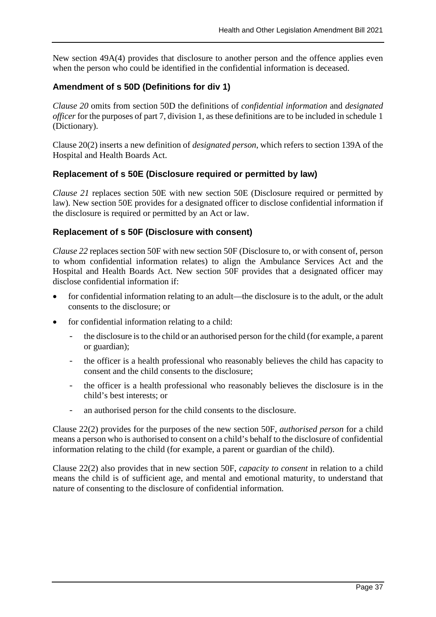New section 49A(4) provides that disclosure to another person and the offence applies even when the person who could be identified in the confidential information is deceased.

## **Amendment of s 50D (Definitions for div 1)**

*Clause 20* omits from section 50D the definitions of *confidential information* and *designated officer* for the purposes of part 7, division 1, as these definitions are to be included in schedule 1 (Dictionary).

Clause 20(2) inserts a new definition of *designated person*, which refers to section 139A of the Hospital and Health Boards Act.

### **Replacement of s 50E (Disclosure required or permitted by law)**

*Clause 21* replaces section 50E with new section 50E (Disclosure required or permitted by law). New section 50E provides for a designated officer to disclose confidential information if the disclosure is required or permitted by an Act or law.

#### **Replacement of s 50F (Disclosure with consent)**

*Clause 22* replaces section 50F with new section 50F (Disclosure to, or with consent of, person to whom confidential information relates) to align the Ambulance Services Act and the Hospital and Health Boards Act. New section 50F provides that a designated officer may disclose confidential information if:

- for confidential information relating to an adult—the disclosure is to the adult, or the adult consents to the disclosure; or
- for confidential information relating to a child:
	- the disclosure is to the child or an authorised person for the child (for example, a parent or guardian);
	- the officer is a health professional who reasonably believes the child has capacity to consent and the child consents to the disclosure;
	- the officer is a health professional who reasonably believes the disclosure is in the child's best interests; or
	- an authorised person for the child consents to the disclosure.

Clause 22(2) provides for the purposes of the new section 50F, *authorised person* for a child means a person who is authorised to consent on a child's behalf to the disclosure of confidential information relating to the child (for example, a parent or guardian of the child).

Clause 22(2) also provides that in new section 50F, *capacity to consent* in relation to a child means the child is of sufficient age, and mental and emotional maturity, to understand that nature of consenting to the disclosure of confidential information.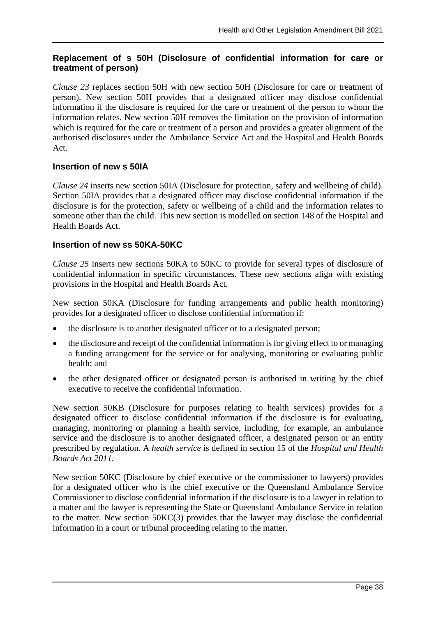## **Replacement of s 50H (Disclosure of confidential information for care or treatment of person)**

*Clause 23* replaces section 50H with new section 50H (Disclosure for care or treatment of person). New section 50H provides that a designated officer may disclose confidential information if the disclosure is required for the care or treatment of the person to whom the information relates. New section 50H removes the limitation on the provision of information which is required for the care or treatment of a person and provides a greater alignment of the authorised disclosures under the Ambulance Service Act and the Hospital and Health Boards Act.

### **Insertion of new s 50IA**

*Clause 24* inserts new section 50IA (Disclosure for protection, safety and wellbeing of child). Section 50IA provides that a designated officer may disclose confidential information if the disclosure is for the protection, safety or wellbeing of a child and the information relates to someone other than the child. This new section is modelled on section 148 of the Hospital and Health Boards Act.

## **Insertion of new ss 50KA-50KC**

*Clause 25* inserts new sections 50KA to 50KC to provide for several types of disclosure of confidential information in specific circumstances. These new sections align with existing provisions in the Hospital and Health Boards Act.

New section 50KA (Disclosure for funding arrangements and public health monitoring) provides for a designated officer to disclose confidential information if:

- the disclosure is to another designated officer or to a designated person;
- the disclosure and receipt of the confidential information is for giving effect to or managing a funding arrangement for the service or for analysing, monitoring or evaluating public health; and
- the other designated officer or designated person is authorised in writing by the chief executive to receive the confidential information.

New section 50KB (Disclosure for purposes relating to health services) provides for a designated officer to disclose confidential information if the disclosure is for evaluating, managing, monitoring or planning a health service, including, for example, an ambulance service and the disclosure is to another designated officer, a designated person or an entity prescribed by regulation. A *health service* is defined in section 15 of the *Hospital and Health Boards Act 2011*.

New section 50KC (Disclosure by chief executive or the commissioner to lawyers) provides for a designated officer who is the chief executive or the Queensland Ambulance Service Commissioner to disclose confidential information if the disclosure is to a lawyer in relation to a matter and the lawyer is representing the State or Queensland Ambulance Service in relation to the matter. New section 50KC(3) provides that the lawyer may disclose the confidential information in a court or tribunal proceeding relating to the matter.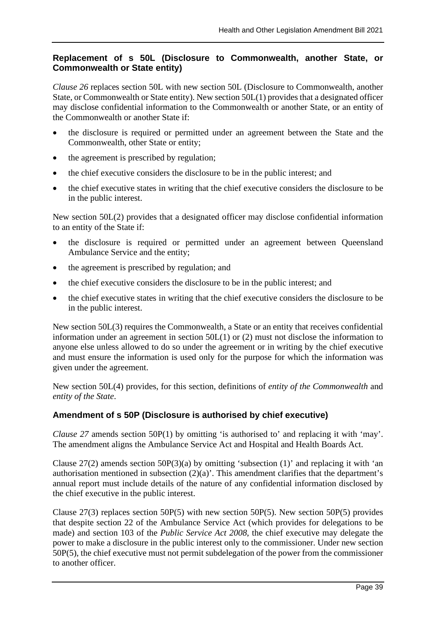## **Replacement of s 50L (Disclosure to Commonwealth, another State, or Commonwealth or State entity)**

*Clause 26* replaces section 50L with new section 50L (Disclosure to Commonwealth, another State, or Commonwealth or State entity). New section 50L(1) provides that a designated officer may disclose confidential information to the Commonwealth or another State, or an entity of the Commonwealth or another State if:

- the disclosure is required or permitted under an agreement between the State and the Commonwealth, other State or entity;
- the agreement is prescribed by regulation;
- the chief executive considers the disclosure to be in the public interest; and
- the chief executive states in writing that the chief executive considers the disclosure to be in the public interest.

New section 50L(2) provides that a designated officer may disclose confidential information to an entity of the State if:

- the disclosure is required or permitted under an agreement between Queensland Ambulance Service and the entity;
- the agreement is prescribed by regulation; and
- the chief executive considers the disclosure to be in the public interest; and
- the chief executive states in writing that the chief executive considers the disclosure to be in the public interest.

New section 50L(3) requires the Commonwealth, a State or an entity that receives confidential information under an agreement in section 50L(1) or (2) must not disclose the information to anyone else unless allowed to do so under the agreement or in writing by the chief executive and must ensure the information is used only for the purpose for which the information was given under the agreement.

New section 50L(4) provides, for this section, definitions of *entity of the Commonwealth* and *entity of the State*.

## **Amendment of s 50P (Disclosure is authorised by chief executive)**

*Clause 27* amends section 50P(1) by omitting 'is authorised to' and replacing it with 'may'. The amendment aligns the Ambulance Service Act and Hospital and Health Boards Act.

Clause  $27(2)$  amends section  $50P(3)(a)$  by omitting 'subsection (1)' and replacing it with 'an authorisation mentioned in subsection  $(2)(a)$ . This amendment clarifies that the department's annual report must include details of the nature of any confidential information disclosed by the chief executive in the public interest.

Clause 27(3) replaces section 50P(5) with new section 50P(5). New section 50P(5) provides that despite section 22 of the Ambulance Service Act (which provides for delegations to be made) and section 103 of the *Public Service Act 2008*, the chief executive may delegate the power to make a disclosure in the public interest only to the commissioner. Under new section 50P(5), the chief executive must not permit subdelegation of the power from the commissioner to another officer.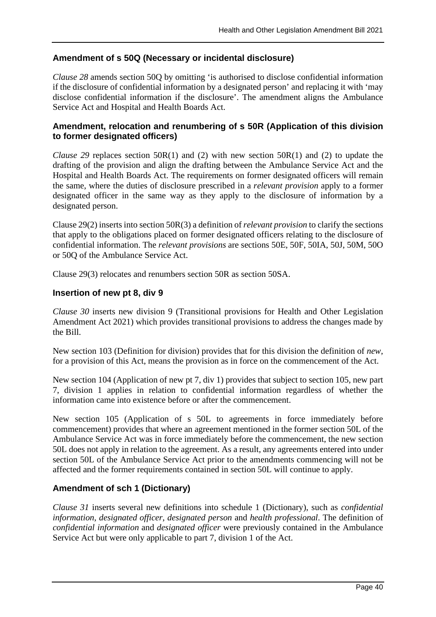## **Amendment of s 50Q (Necessary or incidental disclosure)**

*Clause 28* amends section 50Q by omitting 'is authorised to disclose confidential information if the disclosure of confidential information by a designated person' and replacing it with 'may disclose confidential information if the disclosure'. The amendment aligns the Ambulance Service Act and Hospital and Health Boards Act.

## **Amendment, relocation and renumbering of s 50R (Application of this division to former designated officers)**

*Clause 29* replaces section 50R(1) and (2) with new section 50R(1) and (2) to update the drafting of the provision and align the drafting between the Ambulance Service Act and the Hospital and Health Boards Act. The requirements on former designated officers will remain the same, where the duties of disclosure prescribed in a *relevant provision* apply to a former designated officer in the same way as they apply to the disclosure of information by a designated person.

Clause 29(2) inserts into section 50R(3) a definition of *relevant provision* to clarify the sections that apply to the obligations placed on former designated officers relating to the disclosure of confidential information. The *relevant provisions* are sections 50E, 50F, 50IA, 50J, 50M, 50O or 50Q of the Ambulance Service Act.

Clause 29(3) relocates and renumbers section 50R as section 50SA.

## **Insertion of new pt 8, div 9**

*Clause 30* inserts new division 9 (Transitional provisions for Health and Other Legislation Amendment Act 2021) which provides transitional provisions to address the changes made by the Bill.

New section 103 (Definition for division) provides that for this division the definition of *new*, for a provision of this Act, means the provision as in force on the commencement of the Act.

New section 104 (Application of new pt 7, div 1) provides that subject to section 105, new part 7, division 1 applies in relation to confidential information regardless of whether the information came into existence before or after the commencement.

New section 105 (Application of s 50L to agreements in force immediately before commencement) provides that where an agreement mentioned in the former section 50L of the Ambulance Service Act was in force immediately before the commencement, the new section 50L does not apply in relation to the agreement. As a result, any agreements entered into under section 50L of the Ambulance Service Act prior to the amendments commencing will not be affected and the former requirements contained in section 50L will continue to apply.

## **Amendment of sch 1 (Dictionary)**

*Clause 31* inserts several new definitions into schedule 1 (Dictionary), such as *confidential information*, *designated officer*, *designated person* and *health professional*. The definition of *confidential information* and *designated officer* were previously contained in the Ambulance Service Act but were only applicable to part 7, division 1 of the Act.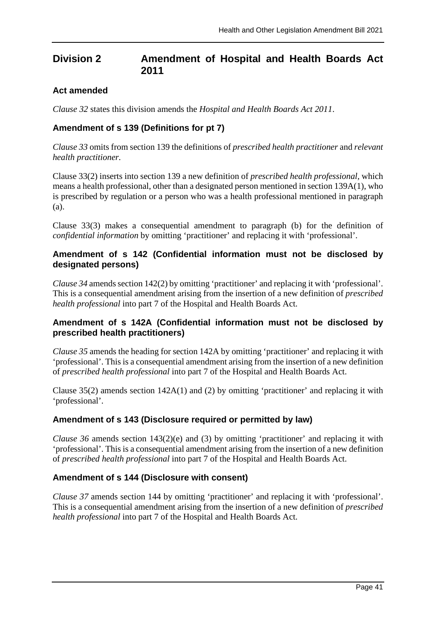## **Division 2 Amendment of Hospital and Health Boards Act 2011**

## **Act amended**

*Clause 32* states this division amends the *Hospital and Health Boards Act 2011*.

## **Amendment of s 139 (Definitions for pt 7)**

*Clause 33* omits from section 139 the definitions of *prescribed health practitioner* and *relevant health practitioner.*

Clause 33(2) inserts into section 139 a new definition of *prescribed health professional,* which means a health professional, other than a designated person mentioned in section 139A(1), who is prescribed by regulation or a person who was a health professional mentioned in paragraph (a).

Clause 33(3) makes a consequential amendment to paragraph (b) for the definition of *confidential information* by omitting 'practitioner' and replacing it with 'professional'.

## **Amendment of s 142 (Confidential information must not be disclosed by designated persons)**

*Clause 34* amends section 142(2) by omitting 'practitioner' and replacing it with 'professional'. This is a consequential amendment arising from the insertion of a new definition of *prescribed health professional* into part 7 of the Hospital and Health Boards Act.

## **Amendment of s 142A (Confidential information must not be disclosed by prescribed health practitioners)**

*Clause 35* amends the heading for section 142A by omitting 'practitioner' and replacing it with 'professional'. This is a consequential amendment arising from the insertion of a new definition of *prescribed health professional* into part 7 of the Hospital and Health Boards Act.

Clause 35(2) amends section 142A(1) and (2) by omitting 'practitioner' and replacing it with 'professional'.

## **Amendment of s 143 (Disclosure required or permitted by law)**

*Clause 36* amends section 143(2)(e) and (3) by omitting 'practitioner' and replacing it with 'professional'. This is a consequential amendment arising from the insertion of a new definition of *prescribed health professional* into part 7 of the Hospital and Health Boards Act.

### **Amendment of s 144 (Disclosure with consent)**

*Clause 37* amends section 144 by omitting 'practitioner' and replacing it with 'professional'. This is a consequential amendment arising from the insertion of a new definition of *prescribed health professional* into part 7 of the Hospital and Health Boards Act.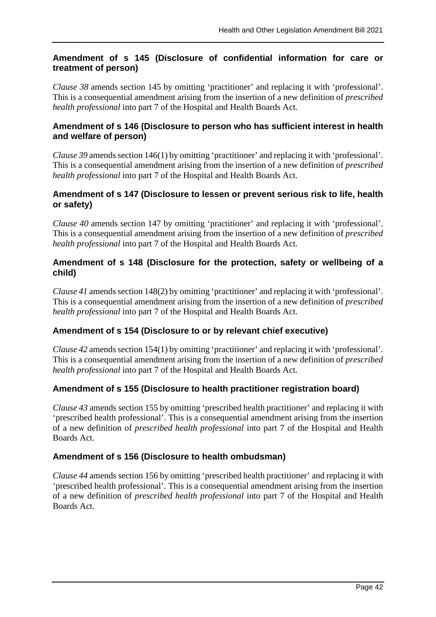## **Amendment of s 145 (Disclosure of confidential information for care or treatment of person)**

*Clause 38* amends section 145 by omitting 'practitioner' and replacing it with 'professional'. This is a consequential amendment arising from the insertion of a new definition of *prescribed health professional* into part 7 of the Hospital and Health Boards Act.

## **Amendment of s 146 (Disclosure to person who has sufficient interest in health and welfare of person)**

*Clause 39* amends section 146(1) by omitting 'practitioner' and replacing it with 'professional'. This is a consequential amendment arising from the insertion of a new definition of *prescribed health professional* into part 7 of the Hospital and Health Boards Act.

## **Amendment of s 147 (Disclosure to lessen or prevent serious risk to life, health or safety)**

*Clause 40* amends section 147 by omitting 'practitioner' and replacing it with 'professional'. This is a consequential amendment arising from the insertion of a new definition of *prescribed health professional* into part 7 of the Hospital and Health Boards Act.

## **Amendment of s 148 (Disclosure for the protection, safety or wellbeing of a child)**

*Clause 41* amends section 148(2) by omitting 'practitioner' and replacing it with 'professional'. This is a consequential amendment arising from the insertion of a new definition of *prescribed health professional* into part 7 of the Hospital and Health Boards Act.

## **Amendment of s 154 (Disclosure to or by relevant chief executive)**

*Clause 42* amends section 154(1) by omitting 'practitioner' and replacing it with 'professional'. This is a consequential amendment arising from the insertion of a new definition of *prescribed health professional* into part 7 of the Hospital and Health Boards Act.

### **Amendment of s 155 (Disclosure to health practitioner registration board)**

*Clause 43* amends section 155 by omitting 'prescribed health practitioner' and replacing it with 'prescribed health professional'. This is a consequential amendment arising from the insertion of a new definition of *prescribed health professional* into part 7 of the Hospital and Health Boards Act.

### **Amendment of s 156 (Disclosure to health ombudsman)**

*Clause 44* amends section 156 by omitting 'prescribed health practitioner' and replacing it with 'prescribed health professional'. This is a consequential amendment arising from the insertion of a new definition of *prescribed health professional* into part 7 of the Hospital and Health Boards Act.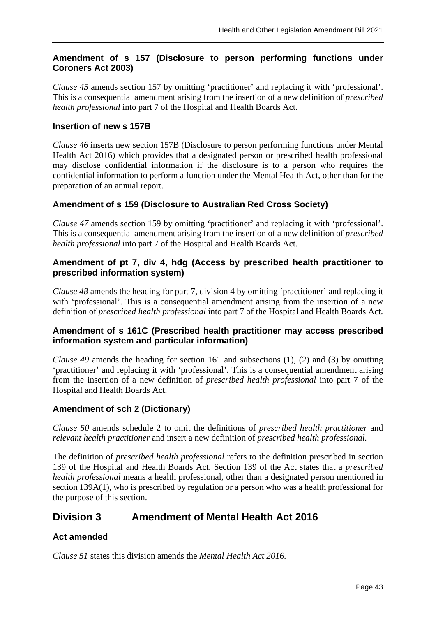## **Amendment of s 157 (Disclosure to person performing functions under Coroners Act 2003)**

*Clause 45* amends section 157 by omitting 'practitioner' and replacing it with 'professional'. This is a consequential amendment arising from the insertion of a new definition of *prescribed health professional* into part 7 of the Hospital and Health Boards Act.

## **Insertion of new s 157B**

*Clause 46* inserts new section 157B (Disclosure to person performing functions under Mental Health Act 2016) which provides that a designated person or prescribed health professional may disclose confidential information if the disclosure is to a person who requires the confidential information to perform a function under the Mental Health Act, other than for the preparation of an annual report.

## **Amendment of s 159 (Disclosure to Australian Red Cross Society)**

*Clause 47* amends section 159 by omitting 'practitioner' and replacing it with 'professional'. This is a consequential amendment arising from the insertion of a new definition of *prescribed health professional* into part 7 of the Hospital and Health Boards Act.

## **Amendment of pt 7, div 4, hdg (Access by prescribed health practitioner to prescribed information system)**

*Clause 48* amends the heading for part 7, division 4 by omitting 'practitioner' and replacing it with 'professional'. This is a consequential amendment arising from the insertion of a new definition of *prescribed health professional* into part 7 of the Hospital and Health Boards Act.

## **Amendment of s 161C (Prescribed health practitioner may access prescribed information system and particular information)**

*Clause 49* amends the heading for section 161 and subsections (1), (2) and (3) by omitting 'practitioner' and replacing it with 'professional'. This is a consequential amendment arising from the insertion of a new definition of *prescribed health professional* into part 7 of the Hospital and Health Boards Act.

### **Amendment of sch 2 (Dictionary)**

*Clause 50* amends schedule 2 to omit the definitions of *prescribed health practitioner* and *relevant health practitioner* and insert a new definition of *prescribed health professional.*

The definition of *prescribed health professional* refers to the definition prescribed in section 139 of the Hospital and Health Boards Act. Section 139 of the Act states that a *prescribed health professional* means a health professional, other than a designated person mentioned in section 139A(1), who is prescribed by regulation or a person who was a health professional for the purpose of this section.

## **Division 3 Amendment of Mental Health Act 2016**

## **Act amended**

*Clause 51* states this division amends the *Mental Health Act 2016*.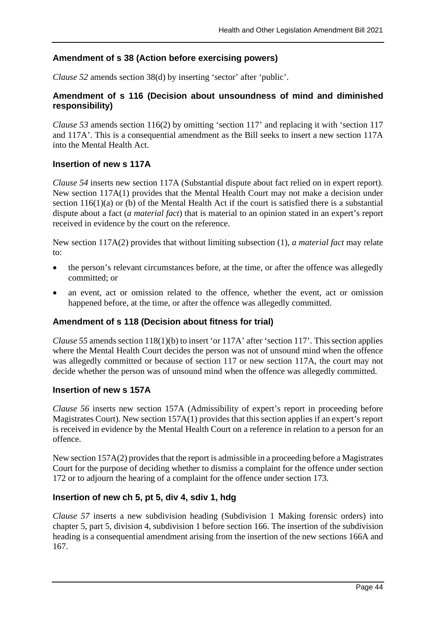## **Amendment of s 38 (Action before exercising powers)**

*Clause 52* amends section 38(d) by inserting 'sector' after 'public'.

## **Amendment of s 116 (Decision about unsoundness of mind and diminished responsibility)**

*Clause 53* amends section 116(2) by omitting 'section 117' and replacing it with 'section 117 and 117A'. This is a consequential amendment as the Bill seeks to insert a new section 117A into the Mental Health Act.

#### **Insertion of new s 117A**

*Clause 54* inserts new section 117A (Substantial dispute about fact relied on in expert report). New section 117A(1) provides that the Mental Health Court may not make a decision under section 116(1)(a) or (b) of the Mental Health Act if the court is satisfied there is a substantial dispute about a fact (*a material fact*) that is material to an opinion stated in an expert's report received in evidence by the court on the reference.

New section 117A(2) provides that without limiting subsection (1), *a material fact* may relate to:

- the person's relevant circumstances before, at the time, or after the offence was allegedly committed; or
- an event, act or omission related to the offence, whether the event, act or omission happened before, at the time, or after the offence was allegedly committed.

### **Amendment of s 118 (Decision about fitness for trial)**

*Clause 55* amends section 118(1)(b) to insert 'or 117A' after 'section 117'. This section applies where the Mental Health Court decides the person was not of unsound mind when the offence was allegedly committed or because of section 117 or new section 117A, the court may not decide whether the person was of unsound mind when the offence was allegedly committed.

### **Insertion of new s 157A**

*Clause 56* inserts new section 157A (Admissibility of expert's report in proceeding before Magistrates Court). New section 157A(1) provides that this section applies if an expert's report is received in evidence by the Mental Health Court on a reference in relation to a person for an offence.

New section 157A(2) provides that the report is admissible in a proceeding before a Magistrates Court for the purpose of deciding whether to dismiss a complaint for the offence under section 172 or to adjourn the hearing of a complaint for the offence under section 173.

### **Insertion of new ch 5, pt 5, div 4, sdiv 1, hdg**

*Clause 57* inserts a new subdivision heading (Subdivision 1 Making forensic orders) into chapter 5, part 5, division 4, subdivision 1 before section 166. The insertion of the subdivision heading is a consequential amendment arising from the insertion of the new sections 166A and 167.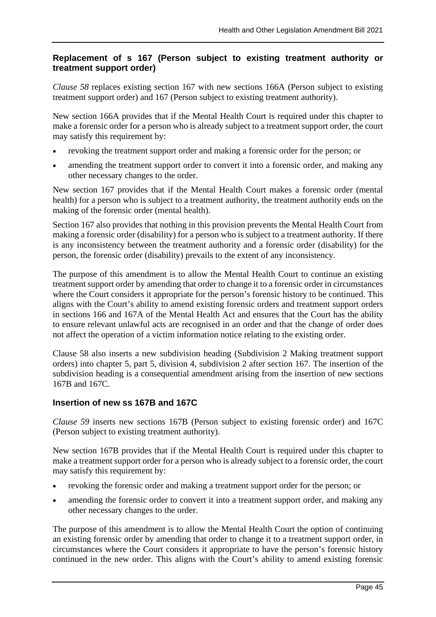## **Replacement of s 167 (Person subject to existing treatment authority or treatment support order)**

*Clause 58* replaces existing section 167 with new sections 166A (Person subject to existing treatment support order) and 167 (Person subject to existing treatment authority).

New section 166A provides that if the Mental Health Court is required under this chapter to make a forensic order for a person who is already subject to a treatment support order, the court may satisfy this requirement by:

- revoking the treatment support order and making a forensic order for the person; or
- amending the treatment support order to convert it into a forensic order, and making any other necessary changes to the order.

New section 167 provides that if the Mental Health Court makes a forensic order (mental health) for a person who is subject to a treatment authority, the treatment authority ends on the making of the forensic order (mental health).

Section 167 also provides that nothing in this provision prevents the Mental Health Court from making a forensic order (disability) for a person who is subject to a treatment authority. If there is any inconsistency between the treatment authority and a forensic order (disability) for the person, the forensic order (disability) prevails to the extent of any inconsistency.

The purpose of this amendment is to allow the Mental Health Court to continue an existing treatment support order by amending that order to change it to a forensic order in circumstances where the Court considers it appropriate for the person's forensic history to be continued. This aligns with the Court's ability to amend existing forensic orders and treatment support orders in sections 166 and 167A of the Mental Health Act and ensures that the Court has the ability to ensure relevant unlawful acts are recognised in an order and that the change of order does not affect the operation of a victim information notice relating to the existing order.

Clause 58 also inserts a new subdivision heading (Subdivision 2 Making treatment support orders) into chapter 5, part 5, division 4, subdivision 2 after section 167. The insertion of the subdivision heading is a consequential amendment arising from the insertion of new sections 167B and 167C.

## **Insertion of new ss 167B and 167C**

*Clause 59* inserts new sections 167B (Person subject to existing forensic order) and 167C (Person subject to existing treatment authority).

New section 167B provides that if the Mental Health Court is required under this chapter to make a treatment support order for a person who is already subject to a forensic order, the court may satisfy this requirement by:

- revoking the forensic order and making a treatment support order for the person; or
- amending the forensic order to convert it into a treatment support order, and making any other necessary changes to the order.

The purpose of this amendment is to allow the Mental Health Court the option of continuing an existing forensic order by amending that order to change it to a treatment support order, in circumstances where the Court considers it appropriate to have the person's forensic history continued in the new order. This aligns with the Court's ability to amend existing forensic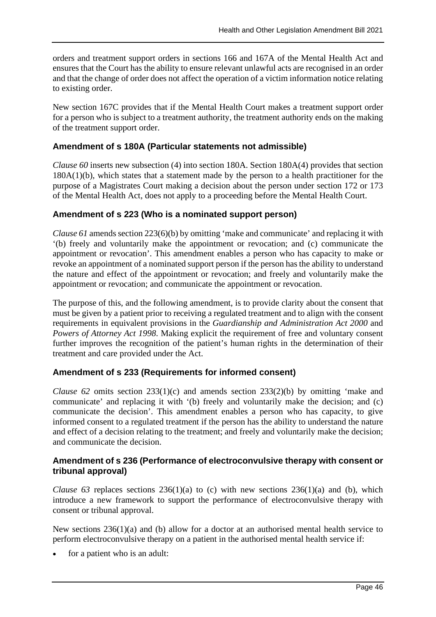orders and treatment support orders in sections 166 and 167A of the Mental Health Act and ensures that the Court has the ability to ensure relevant unlawful acts are recognised in an order and that the change of order does not affect the operation of a victim information notice relating to existing order.

New section 167C provides that if the Mental Health Court makes a treatment support order for a person who is subject to a treatment authority, the treatment authority ends on the making of the treatment support order.

## **Amendment of s 180A (Particular statements not admissible)**

*Clause 60* inserts new subsection (4) into section 180A. Section 180A(4) provides that section 180A(1)(b), which states that a statement made by the person to a health practitioner for the purpose of a Magistrates Court making a decision about the person under section 172 or 173 of the Mental Health Act, does not apply to a proceeding before the Mental Health Court.

### **Amendment of s 223 (Who is a nominated support person)**

*Clause 61* amends section 223(6)(b) by omitting 'make and communicate' and replacing it with '(b) freely and voluntarily make the appointment or revocation; and (c) communicate the appointment or revocation'. This amendment enables a person who has capacity to make or revoke an appointment of a nominated support person if the person has the ability to understand the nature and effect of the appointment or revocation; and freely and voluntarily make the appointment or revocation; and communicate the appointment or revocation.

The purpose of this, and the following amendment, is to provide clarity about the consent that must be given by a patient prior to receiving a regulated treatment and to align with the consent requirements in equivalent provisions in the *Guardianship and Administration Act 2000* and *Powers of Attorney Act 1998*. Making explicit the requirement of free and voluntary consent further improves the recognition of the patient's human rights in the determination of their treatment and care provided under the Act.

### **Amendment of s 233 (Requirements for informed consent)**

*Clause 62* omits section 233(1)(c) and amends section 233(2)(b) by omitting 'make and communicate' and replacing it with '(b) freely and voluntarily make the decision; and (c) communicate the decision'. This amendment enables a person who has capacity, to give informed consent to a regulated treatment if the person has the ability to understand the nature and effect of a decision relating to the treatment; and freely and voluntarily make the decision; and communicate the decision.

## **Amendment of s 236 (Performance of electroconvulsive therapy with consent or tribunal approval)**

*Clause* 63 replaces sections  $236(1)(a)$  to (c) with new sections  $236(1)(a)$  and (b), which introduce a new framework to support the performance of electroconvulsive therapy with consent or tribunal approval.

New sections  $236(1)(a)$  and (b) allow for a doctor at an authorised mental health service to perform electroconvulsive therapy on a patient in the authorised mental health service if:

for a patient who is an adult: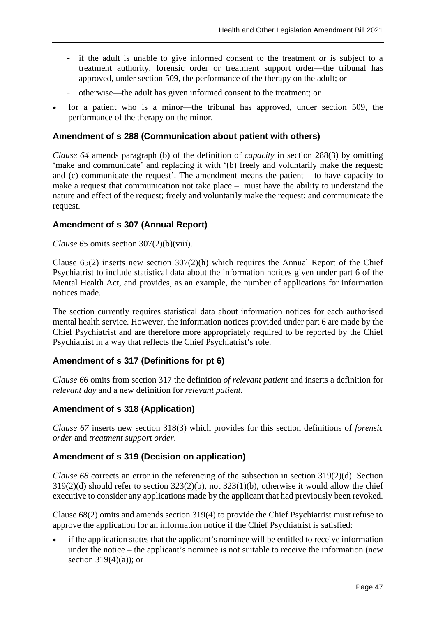- if the adult is unable to give informed consent to the treatment or is subject to a treatment authority, forensic order or treatment support order—the tribunal has approved, under section 509, the performance of the therapy on the adult; or
- otherwise—the adult has given informed consent to the treatment; or
- for a patient who is a minor—the tribunal has approved, under section 509, the performance of the therapy on the minor.

## **Amendment of s 288 (Communication about patient with others)**

*Clause 64* amends paragraph (b) of the definition of *capacity* in section 288(3) by omitting 'make and communicate' and replacing it with '(b) freely and voluntarily make the request; and (c) communicate the request'. The amendment means the patient – to have capacity to make a request that communication not take place – must have the ability to understand the nature and effect of the request; freely and voluntarily make the request; and communicate the request.

### **Amendment of s 307 (Annual Report)**

#### *Clause 65* omits section 307(2)(b)(viii).

Clause  $65(2)$  inserts new section  $307(2)(h)$  which requires the Annual Report of the Chief Psychiatrist to include statistical data about the information notices given under part 6 of the Mental Health Act, and provides, as an example, the number of applications for information notices made.

The section currently requires statistical data about information notices for each authorised mental health service. However, the information notices provided under part 6 are made by the Chief Psychiatrist and are therefore more appropriately required to be reported by the Chief Psychiatrist in a way that reflects the Chief Psychiatrist's role.

### **Amendment of s 317 (Definitions for pt 6)**

*Clause 66* omits from section 317 the definition *of relevant patient* and inserts a definition for *relevant day* and a new definition for *relevant patient*.

### **Amendment of s 318 (Application)**

*Clause 67* inserts new section 318(3) which provides for this section definitions of *forensic order* and *treatment support order*.

### **Amendment of s 319 (Decision on application)**

*Clause 68* corrects an error in the referencing of the subsection in section 319(2)(d). Section 319(2)(d) should refer to section 323(2)(b), not 323(1)(b), otherwise it would allow the chief executive to consider any applications made by the applicant that had previously been revoked.

Clause 68(2) omits and amends section 319(4) to provide the Chief Psychiatrist must refuse to approve the application for an information notice if the Chief Psychiatrist is satisfied:

• if the application states that the applicant's nominee will be entitled to receive information under the notice – the applicant's nominee is not suitable to receive the information (new section  $319(4)(a)$ ; or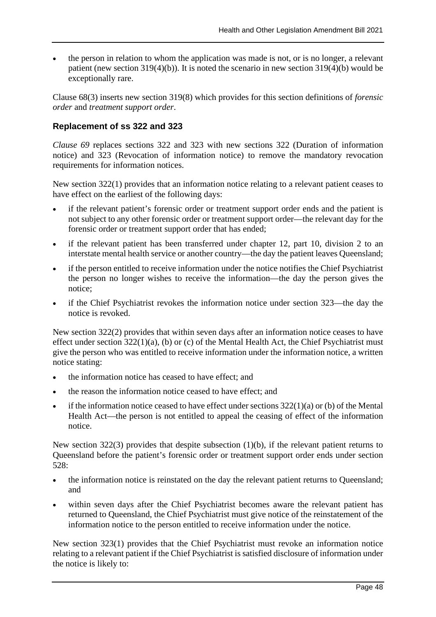• the person in relation to whom the application was made is not, or is no longer, a relevant patient (new section 319(4)(b)). It is noted the scenario in new section 319(4)(b) would be exceptionally rare.

Clause 68(3) inserts new section 319(8) which provides for this section definitions of *forensic order* and *treatment support order*.

## **Replacement of ss 322 and 323**

*Clause 69* replaces sections 322 and 323 with new sections 322 (Duration of information notice) and 323 (Revocation of information notice) to remove the mandatory revocation requirements for information notices.

New section 322(1) provides that an information notice relating to a relevant patient ceases to have effect on the earliest of the following days:

- if the relevant patient's forensic order or treatment support order ends and the patient is not subject to any other forensic order or treatment support order—the relevant day for the forensic order or treatment support order that has ended;
- if the relevant patient has been transferred under chapter 12, part 10, division 2 to an interstate mental health service or another country—the day the patient leaves Queensland;
- if the person entitled to receive information under the notice notifies the Chief Psychiatrist the person no longer wishes to receive the information—the day the person gives the notice;
- if the Chief Psychiatrist revokes the information notice under section 323—the day the notice is revoked.

New section 322(2) provides that within seven days after an information notice ceases to have effect under section  $322(1)(a)$ , (b) or (c) of the Mental Health Act, the Chief Psychiatrist must give the person who was entitled to receive information under the information notice, a written notice stating:

- the information notice has ceased to have effect; and
- the reason the information notice ceased to have effect: and
- if the information notice ceased to have effect under sections  $322(1)(a)$  or (b) of the Mental Health Act—the person is not entitled to appeal the ceasing of effect of the information notice.

New section 322(3) provides that despite subsection (1)(b), if the relevant patient returns to Queensland before the patient's forensic order or treatment support order ends under section 528:

- the information notice is reinstated on the day the relevant patient returns to Queensland; and
- within seven days after the Chief Psychiatrist becomes aware the relevant patient has returned to Queensland, the Chief Psychiatrist must give notice of the reinstatement of the information notice to the person entitled to receive information under the notice.

New section 323(1) provides that the Chief Psychiatrist must revoke an information notice relating to a relevant patient if the Chief Psychiatrist is satisfied disclosure of information under the notice is likely to: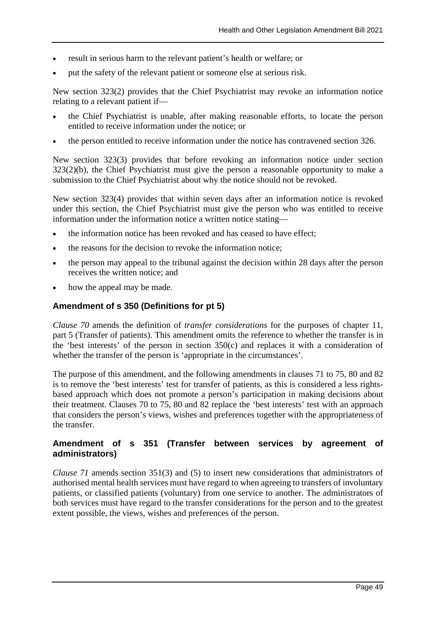- result in serious harm to the relevant patient's health or welfare; or
- put the safety of the relevant patient or someone else at serious risk.

New section 323(2) provides that the Chief Psychiatrist may revoke an information notice relating to a relevant patient if—

- the Chief Psychiatrist is unable, after making reasonable efforts, to locate the person entitled to receive information under the notice; or
- the person entitled to receive information under the notice has contravened section 326.

New section 323(3) provides that before revoking an information notice under section 323(2)(b), the Chief Psychiatrist must give the person a reasonable opportunity to make a submission to the Chief Psychiatrist about why the notice should not be revoked.

New section 323(4) provides that within seven days after an information notice is revoked under this section, the Chief Psychiatrist must give the person who was entitled to receive information under the information notice a written notice stating—

- the information notice has been revoked and has ceased to have effect;
- the reasons for the decision to revoke the information notice:
- the person may appeal to the tribunal against the decision within 28 days after the person receives the written notice; and
- how the appeal may be made.

### **Amendment of s 350 (Definitions for pt 5)**

*Clause 70* amends the definition of *transfer considerations* for the purposes of chapter 11, part 5 (Transfer of patients). This amendment omits the reference to whether the transfer is in the 'best interests' of the person in section 350(c) and replaces it with a consideration of whether the transfer of the person is 'appropriate in the circumstances'.

The purpose of this amendment, and the following amendments in clauses 71 to 75, 80 and 82 is to remove the 'best interests' test for transfer of patients, as this is considered a less rightsbased approach which does not promote a person's participation in making decisions about their treatment. Clauses 70 to 75, 80 and 82 replace the 'best interests' test with an approach that considers the person's views, wishes and preferences together with the appropriateness of the transfer.

#### **Amendment of s 351 (Transfer between services by agreement of administrators)**

*Clause 71* amends section 351(3) and (5) to insert new considerations that administrators of authorised mental health services must have regard to when agreeing to transfers of involuntary patients, or classified patients (voluntary) from one service to another. The administrators of both services must have regard to the transfer considerations for the person and to the greatest extent possible, the views, wishes and preferences of the person.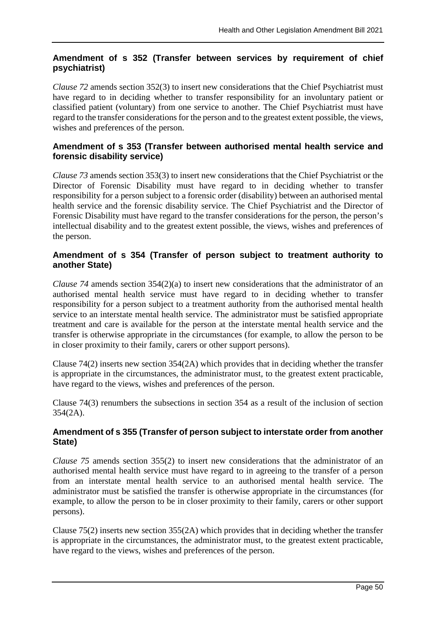## **Amendment of s 352 (Transfer between services by requirement of chief psychiatrist)**

*Clause 72* amends section 352(3) to insert new considerations that the Chief Psychiatrist must have regard to in deciding whether to transfer responsibility for an involuntary patient or classified patient (voluntary) from one service to another. The Chief Psychiatrist must have regard to the transfer considerations for the person and to the greatest extent possible, the views, wishes and preferences of the person.

## **Amendment of s 353 (Transfer between authorised mental health service and forensic disability service)**

*Clause 73* amends section 353(3) to insert new considerations that the Chief Psychiatrist or the Director of Forensic Disability must have regard to in deciding whether to transfer responsibility for a person subject to a forensic order (disability) between an authorised mental health service and the forensic disability service. The Chief Psychiatrist and the Director of Forensic Disability must have regard to the transfer considerations for the person, the person's intellectual disability and to the greatest extent possible, the views, wishes and preferences of the person.

## **Amendment of s 354 (Transfer of person subject to treatment authority to another State)**

*Clause 74* amends section 354(2)(a) to insert new considerations that the administrator of an authorised mental health service must have regard to in deciding whether to transfer responsibility for a person subject to a treatment authority from the authorised mental health service to an interstate mental health service. The administrator must be satisfied appropriate treatment and care is available for the person at the interstate mental health service and the transfer is otherwise appropriate in the circumstances (for example, to allow the person to be in closer proximity to their family, carers or other support persons).

Clause 74(2) inserts new section 354(2A) which provides that in deciding whether the transfer is appropriate in the circumstances, the administrator must, to the greatest extent practicable, have regard to the views, wishes and preferences of the person.

Clause 74(3) renumbers the subsections in section 354 as a result of the inclusion of section 354(2A).

## **Amendment of s 355 (Transfer of person subject to interstate order from another State)**

*Clause 75* amends section 355(2) to insert new considerations that the administrator of an authorised mental health service must have regard to in agreeing to the transfer of a person from an interstate mental health service to an authorised mental health service. The administrator must be satisfied the transfer is otherwise appropriate in the circumstances (for example, to allow the person to be in closer proximity to their family, carers or other support persons).

Clause 75(2) inserts new section 355(2A) which provides that in deciding whether the transfer is appropriate in the circumstances, the administrator must, to the greatest extent practicable, have regard to the views, wishes and preferences of the person.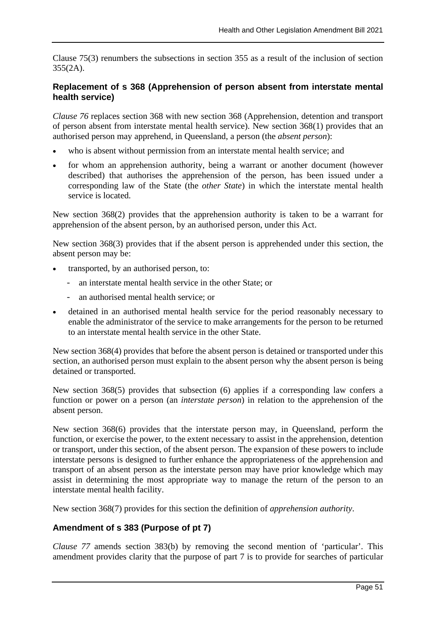Clause 75(3) renumbers the subsections in section 355 as a result of the inclusion of section 355(2A).

### **Replacement of s 368 (Apprehension of person absent from interstate mental health service)**

*Clause 76* replaces section 368 with new section 368 (Apprehension, detention and transport of person absent from interstate mental health service). New section 368(1) provides that an authorised person may apprehend, in Queensland, a person (the *absent person*):

- who is absent without permission from an interstate mental health service; and
- for whom an apprehension authority, being a warrant or another document (however described) that authorises the apprehension of the person, has been issued under a corresponding law of the State (the *other State*) in which the interstate mental health service is located.

New section 368(2) provides that the apprehension authority is taken to be a warrant for apprehension of the absent person, by an authorised person, under this Act.

New section 368(3) provides that if the absent person is apprehended under this section, the absent person may be:

- transported, by an authorised person, to:
	- an interstate mental health service in the other State; or
	- an authorised mental health service; or
- detained in an authorised mental health service for the period reasonably necessary to enable the administrator of the service to make arrangements for the person to be returned to an interstate mental health service in the other State.

New section 368(4) provides that before the absent person is detained or transported under this section, an authorised person must explain to the absent person why the absent person is being detained or transported.

New section 368(5) provides that subsection (6) applies if a corresponding law confers a function or power on a person (an *interstate person*) in relation to the apprehension of the absent person.

New section 368(6) provides that the interstate person may, in Queensland, perform the function, or exercise the power, to the extent necessary to assist in the apprehension, detention or transport, under this section, of the absent person. The expansion of these powers to include interstate persons is designed to further enhance the appropriateness of the apprehension and transport of an absent person as the interstate person may have prior knowledge which may assist in determining the most appropriate way to manage the return of the person to an interstate mental health facility.

New section 368(7) provides for this section the definition of *apprehension authority*.

### **Amendment of s 383 (Purpose of pt 7)**

*Clause 77* amends section 383(b) by removing the second mention of 'particular'. This amendment provides clarity that the purpose of part 7 is to provide for searches of particular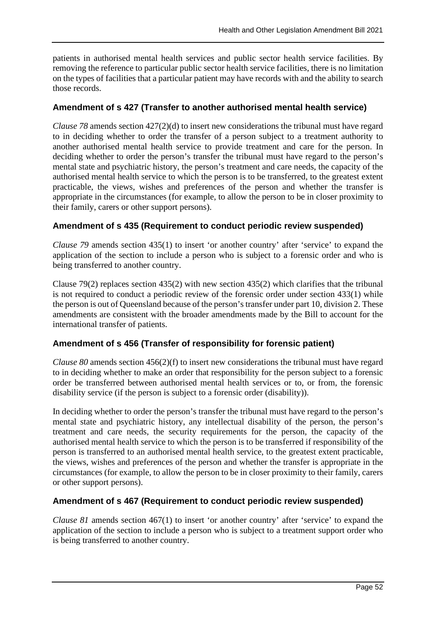patients in authorised mental health services and public sector health service facilities. By removing the reference to particular public sector health service facilities, there is no limitation on the types of facilities that a particular patient may have records with and the ability to search those records.

## **Amendment of s 427 (Transfer to another authorised mental health service)**

*Clause 78* amends section 427(2)(d) to insert new considerations the tribunal must have regard to in deciding whether to order the transfer of a person subject to a treatment authority to another authorised mental health service to provide treatment and care for the person. In deciding whether to order the person's transfer the tribunal must have regard to the person's mental state and psychiatric history, the person's treatment and care needs, the capacity of the authorised mental health service to which the person is to be transferred, to the greatest extent practicable, the views, wishes and preferences of the person and whether the transfer is appropriate in the circumstances (for example, to allow the person to be in closer proximity to their family, carers or other support persons).

## **Amendment of s 435 (Requirement to conduct periodic review suspended)**

*Clause 79* amends section 435(1) to insert 'or another country' after 'service' to expand the application of the section to include a person who is subject to a forensic order and who is being transferred to another country.

Clause 79(2) replaces section 435(2) with new section 435(2) which clarifies that the tribunal is not required to conduct a periodic review of the forensic order under section 433(1) while the person is out of Queensland because of the person'stransfer under part 10, division 2. These amendments are consistent with the broader amendments made by the Bill to account for the international transfer of patients.

## **Amendment of s 456 (Transfer of responsibility for forensic patient)**

*Clause 80* amends section 456(2)(f) to insert new considerations the tribunal must have regard to in deciding whether to make an order that responsibility for the person subject to a forensic order be transferred between authorised mental health services or to, or from, the forensic disability service (if the person is subject to a forensic order (disability)).

In deciding whether to order the person's transfer the tribunal must have regard to the person's mental state and psychiatric history, any intellectual disability of the person, the person's treatment and care needs, the security requirements for the person, the capacity of the authorised mental health service to which the person is to be transferred if responsibility of the person is transferred to an authorised mental health service, to the greatest extent practicable, the views, wishes and preferences of the person and whether the transfer is appropriate in the circumstances (for example, to allow the person to be in closer proximity to their family, carers or other support persons).

### **Amendment of s 467 (Requirement to conduct periodic review suspended)**

*Clause 81* amends section 467(1) to insert 'or another country' after 'service' to expand the application of the section to include a person who is subject to a treatment support order who is being transferred to another country.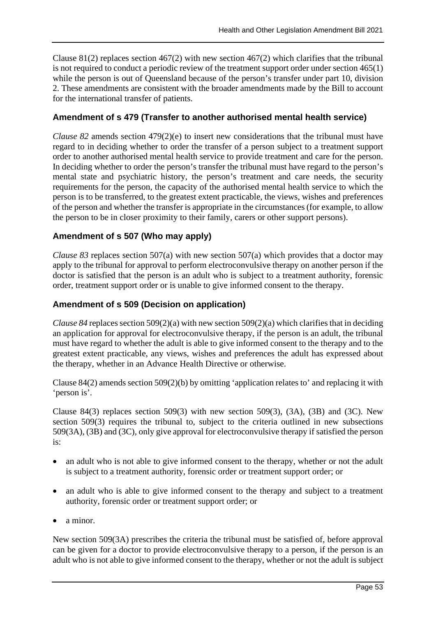Clause 81(2) replaces section 467(2) with new section 467(2) which clarifies that the tribunal is not required to conduct a periodic review of the treatment support order under section 465(1) while the person is out of Queensland because of the person's transfer under part 10, division 2. These amendments are consistent with the broader amendments made by the Bill to account for the international transfer of patients.

## **Amendment of s 479 (Transfer to another authorised mental health service)**

*Clause 82* amends section 479(2)(e) to insert new considerations that the tribunal must have regard to in deciding whether to order the transfer of a person subject to a treatment support order to another authorised mental health service to provide treatment and care for the person. In deciding whether to order the person's transfer the tribunal must have regard to the person's mental state and psychiatric history, the person's treatment and care needs, the security requirements for the person, the capacity of the authorised mental health service to which the person is to be transferred, to the greatest extent practicable, the views, wishes and preferences of the person and whether the transfer is appropriate in the circumstances (for example, to allow the person to be in closer proximity to their family, carers or other support persons).

## **Amendment of s 507 (Who may apply)**

*Clause 83* replaces section 507(a) with new section 507(a) which provides that a doctor may apply to the tribunal for approval to perform electroconvulsive therapy on another person if the doctor is satisfied that the person is an adult who is subject to a treatment authority, forensic order, treatment support order or is unable to give informed consent to the therapy.

## **Amendment of s 509 (Decision on application)**

*Clause* 84 replaces section 509(2)(a) with new section 509(2)(a) which clarifies that in deciding an application for approval for electroconvulsive therapy, if the person is an adult, the tribunal must have regard to whether the adult is able to give informed consent to the therapy and to the greatest extent practicable, any views, wishes and preferences the adult has expressed about the therapy, whether in an Advance Health Directive or otherwise.

Clause 84(2) amends section 509(2)(b) by omitting 'application relates to' and replacing it with 'person is'.

Clause 84(3) replaces section 509(3) with new section 509(3), (3A), (3B) and (3C). New section 509(3) requires the tribunal to, subject to the criteria outlined in new subsections 509(3A), (3B) and (3C), only give approval for electroconvulsive therapy if satisfied the person is:

- an adult who is not able to give informed consent to the therapy, whether or not the adult is subject to a treatment authority, forensic order or treatment support order; or
- an adult who is able to give informed consent to the therapy and subject to a treatment authority, forensic order or treatment support order; or
- a minor.

New section 509(3A) prescribes the criteria the tribunal must be satisfied of, before approval can be given for a doctor to provide electroconvulsive therapy to a person, if the person is an adult who is not able to give informed consent to the therapy, whether or not the adult is subject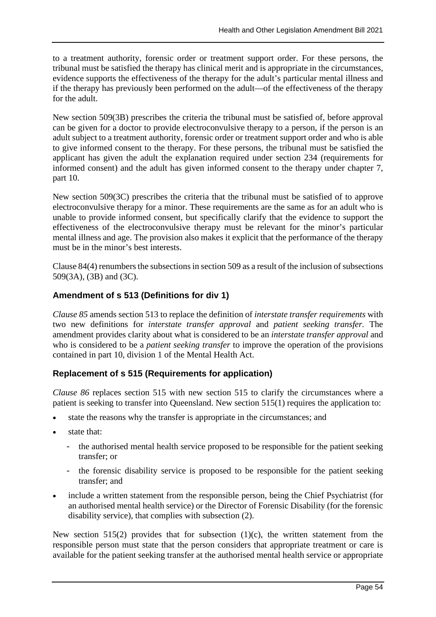to a treatment authority, forensic order or treatment support order. For these persons, the tribunal must be satisfied the therapy has clinical merit and is appropriate in the circumstances, evidence supports the effectiveness of the therapy for the adult's particular mental illness and if the therapy has previously been performed on the adult—of the effectiveness of the therapy for the adult.

New section 509(3B) prescribes the criteria the tribunal must be satisfied of, before approval can be given for a doctor to provide electroconvulsive therapy to a person, if the person is an adult subject to a treatment authority, forensic order or treatment support order and who is able to give informed consent to the therapy. For these persons, the tribunal must be satisfied the applicant has given the adult the explanation required under section 234 (requirements for informed consent) and the adult has given informed consent to the therapy under chapter 7, part 10.

New section 509(3C) prescribes the criteria that the tribunal must be satisfied of to approve electroconvulsive therapy for a minor. These requirements are the same as for an adult who is unable to provide informed consent, but specifically clarify that the evidence to support the effectiveness of the electroconvulsive therapy must be relevant for the minor's particular mental illness and age. The provision also makes it explicit that the performance of the therapy must be in the minor's best interests.

Clause 84(4) renumbers the subsections in section 509 as a result of the inclusion of subsections 509(3A), (3B) and (3C).

## **Amendment of s 513 (Definitions for div 1)**

*Clause 85* amends section 513 to replace the definition of *interstate transfer requirements* with two new definitions for *interstate transfer approval* and *patient seeking transfer.* The amendment provides clarity about what is considered to be an *interstate transfer approval* and who is considered to be a *patient seeking transfer* to improve the operation of the provisions contained in part 10, division 1 of the Mental Health Act.

## **Replacement of s 515 (Requirements for application)**

*Clause 86* replaces section 515 with new section 515 to clarify the circumstances where a patient is seeking to transfer into Queensland. New section 515(1) requires the application to:

- state the reasons why the transfer is appropriate in the circumstances; and
- state that:
	- the authorised mental health service proposed to be responsible for the patient seeking transfer; or
	- the forensic disability service is proposed to be responsible for the patient seeking transfer; and
- include a written statement from the responsible person, being the Chief Psychiatrist (for an authorised mental health service) or the Director of Forensic Disability (for the forensic disability service), that complies with subsection (2).

New section 515(2) provides that for subsection (1)(c), the written statement from the responsible person must state that the person considers that appropriate treatment or care is available for the patient seeking transfer at the authorised mental health service or appropriate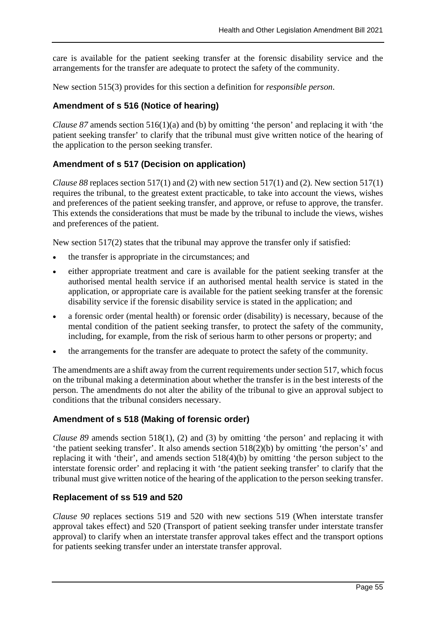care is available for the patient seeking transfer at the forensic disability service and the arrangements for the transfer are adequate to protect the safety of the community.

New section 515(3) provides for this section a definition for *responsible person*.

## **Amendment of s 516 (Notice of hearing)**

*Clause 87* amends section 516(1)(a) and (b) by omitting 'the person' and replacing it with 'the patient seeking transfer' to clarify that the tribunal must give written notice of the hearing of the application to the person seeking transfer.

## **Amendment of s 517 (Decision on application)**

*Clause 88* replaces section 517(1) and (2) with new section 517(1) and (2). New section 517(1) requires the tribunal, to the greatest extent practicable, to take into account the views, wishes and preferences of the patient seeking transfer, and approve, or refuse to approve, the transfer. This extends the considerations that must be made by the tribunal to include the views, wishes and preferences of the patient.

New section 517(2) states that the tribunal may approve the transfer only if satisfied:

- the transfer is appropriate in the circumstances; and
- either appropriate treatment and care is available for the patient seeking transfer at the authorised mental health service if an authorised mental health service is stated in the application, or appropriate care is available for the patient seeking transfer at the forensic disability service if the forensic disability service is stated in the application; and
- a forensic order (mental health) or forensic order (disability) is necessary, because of the mental condition of the patient seeking transfer, to protect the safety of the community, including, for example, from the risk of serious harm to other persons or property; and
- the arrangements for the transfer are adequate to protect the safety of the community.

The amendments are a shift away from the current requirements under section 517, which focus on the tribunal making a determination about whether the transfer is in the best interests of the person. The amendments do not alter the ability of the tribunal to give an approval subject to conditions that the tribunal considers necessary.

### **Amendment of s 518 (Making of forensic order)**

*Clause 89* amends section 518(1), (2) and (3) by omitting 'the person' and replacing it with 'the patient seeking transfer'. It also amends section 518(2)(b) by omitting 'the person's' and replacing it with 'their', and amends section 518(4)(b) by omitting 'the person subject to the interstate forensic order' and replacing it with 'the patient seeking transfer' to clarify that the tribunal must give written notice of the hearing of the application to the person seeking transfer.

### **Replacement of ss 519 and 520**

*Clause 90* replaces sections 519 and 520 with new sections 519 (When interstate transfer approval takes effect) and 520 (Transport of patient seeking transfer under interstate transfer approval) to clarify when an interstate transfer approval takes effect and the transport options for patients seeking transfer under an interstate transfer approval.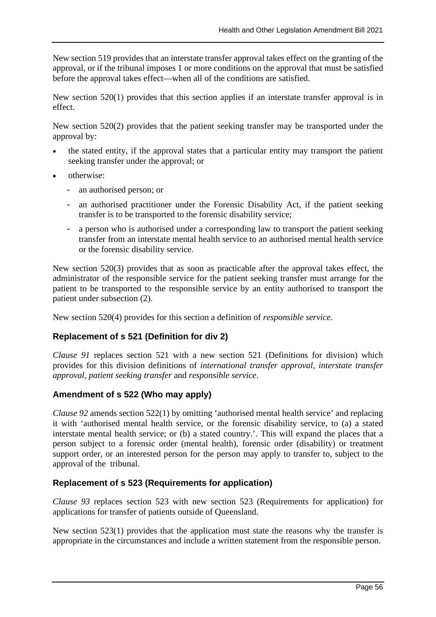New section 519 provides that an interstate transfer approval takes effect on the granting of the approval, or if the tribunal imposes 1 or more conditions on the approval that must be satisfied before the approval takes effect—when all of the conditions are satisfied.

New section 520(1) provides that this section applies if an interstate transfer approval is in effect.

New section 520(2) provides that the patient seeking transfer may be transported under the approval by:

- the stated entity, if the approval states that a particular entity may transport the patient seeking transfer under the approval; or
- otherwise:
	- an authorised person; or
	- an authorised practitioner under the Forensic Disability Act, if the patient seeking transfer is to be transported to the forensic disability service;
	- a person who is authorised under a corresponding law to transport the patient seeking transfer from an interstate mental health service to an authorised mental health service or the forensic disability service.

New section 520(3) provides that as soon as practicable after the approval takes effect, the administrator of the responsible service for the patient seeking transfer must arrange for the patient to be transported to the responsible service by an entity authorised to transport the patient under subsection (2).

New section 520(4) provides for this section a definition of *responsible service*.

## **Replacement of s 521 (Definition for div 2)**

*Clause 91* replaces section 521 with a new section 521 (Definitions for division) which provides for this division definitions of *international transfer approval*, *interstate transfer approval*, *patient seeking transfer* and *responsible service*.

### **Amendment of s 522 (Who may apply)**

*Clause 92* amends section 522(1) by omitting 'authorised mental health service' and replacing it with 'authorised mental health service, or the forensic disability service, to (a) a stated interstate mental health service; or (b) a stated country.'. This will expand the places that a person subject to a forensic order (mental health), forensic order (disability) or treatment support order, or an interested person for the person may apply to transfer to, subject to the approval of the tribunal.

### **Replacement of s 523 (Requirements for application)**

*Clause 93* replaces section 523 with new section 523 (Requirements for application) for applications for transfer of patients outside of Queensland.

New section 523(1) provides that the application must state the reasons why the transfer is appropriate in the circumstances and include a written statement from the responsible person.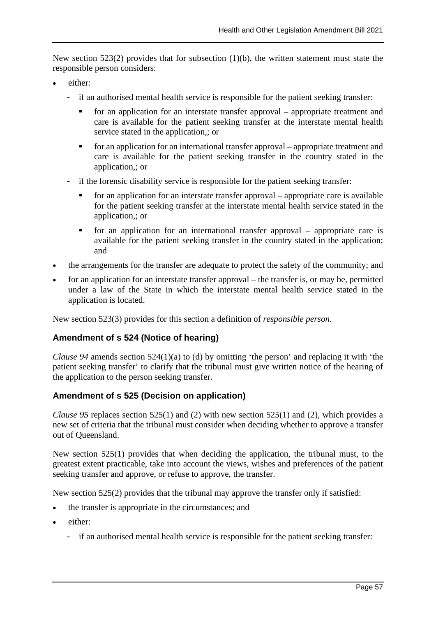New section 523(2) provides that for subsection (1)(b), the written statement must state the responsible person considers:

- either:
	- if an authorised mental health service is responsible for the patient seeking transfer:
		- for an application for an interstate transfer approval appropriate treatment and care is available for the patient seeking transfer at the interstate mental health service stated in the application,; or
		- $\blacksquare$  for an application for an international transfer approval appropriate treatment and care is available for the patient seeking transfer in the country stated in the application,; or
	- if the forensic disability service is responsible for the patient seeking transfer:
		- for an application for an interstate transfer approval appropriate care is available for the patient seeking transfer at the interstate mental health service stated in the application,; or
		- $\blacksquare$  for an application for an international transfer approval appropriate care is available for the patient seeking transfer in the country stated in the application; and
- the arrangements for the transfer are adequate to protect the safety of the community; and
- for an application for an interstate transfer approval the transfer is, or may be, permitted under a law of the State in which the interstate mental health service stated in the application is located.

New section 523(3) provides for this section a definition of *responsible person*.

### **Amendment of s 524 (Notice of hearing)**

*Clause 94* amends section 524(1)(a) to (d) by omitting 'the person' and replacing it with 'the patient seeking transfer' to clarify that the tribunal must give written notice of the hearing of the application to the person seeking transfer.

### **Amendment of s 525 (Decision on application)**

*Clause 95* replaces section 525(1) and (2) with new section 525(1) and (2), which provides a new set of criteria that the tribunal must consider when deciding whether to approve a transfer out of Queensland.

New section 525(1) provides that when deciding the application, the tribunal must, to the greatest extent practicable, take into account the views, wishes and preferences of the patient seeking transfer and approve, or refuse to approve, the transfer.

New section 525(2) provides that the tribunal may approve the transfer only if satisfied:

- the transfer is appropriate in the circumstances; and
- either:
	- if an authorised mental health service is responsible for the patient seeking transfer: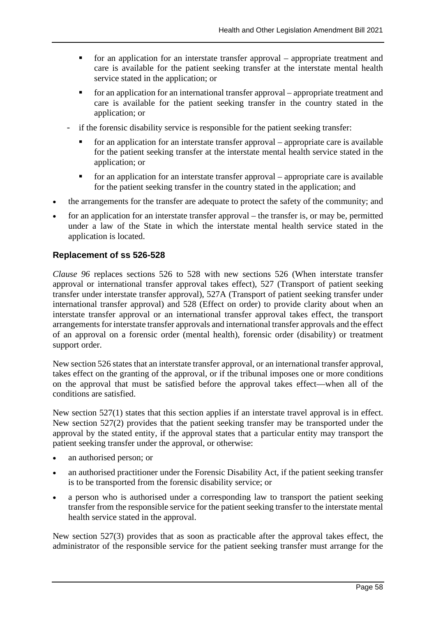- for an application for an interstate transfer approval appropriate treatment and care is available for the patient seeking transfer at the interstate mental health service stated in the application; or
- for an application for an international transfer approval appropriate treatment and care is available for the patient seeking transfer in the country stated in the application; or
- if the forensic disability service is responsible for the patient seeking transfer:
	- for an application for an interstate transfer approval appropriate care is available for the patient seeking transfer at the interstate mental health service stated in the application; or
	- $\blacksquare$  for an application for an interstate transfer approval appropriate care is available for the patient seeking transfer in the country stated in the application; and
- the arrangements for the transfer are adequate to protect the safety of the community; and
- for an application for an interstate transfer approval the transfer is, or may be, permitted under a law of the State in which the interstate mental health service stated in the application is located.

## **Replacement of ss 526-528**

*Clause 96* replaces sections 526 to 528 with new sections 526 (When interstate transfer approval or international transfer approval takes effect), 527 (Transport of patient seeking transfer under interstate transfer approval), 527A (Transport of patient seeking transfer under international transfer approval) and 528 (Effect on order) to provide clarity about when an interstate transfer approval or an international transfer approval takes effect, the transport arrangements for interstate transfer approvals and international transfer approvals and the effect of an approval on a forensic order (mental health), forensic order (disability) or treatment support order.

New section 526 states that an interstate transfer approval, or an international transfer approval, takes effect on the granting of the approval, or if the tribunal imposes one or more conditions on the approval that must be satisfied before the approval takes effect—when all of the conditions are satisfied.

New section 527(1) states that this section applies if an interstate travel approval is in effect. New section 527(2) provides that the patient seeking transfer may be transported under the approval by the stated entity, if the approval states that a particular entity may transport the patient seeking transfer under the approval, or otherwise:

- an authorised person; or
- an authorised practitioner under the Forensic Disability Act, if the patient seeking transfer is to be transported from the forensic disability service; or
- a person who is authorised under a corresponding law to transport the patient seeking transfer from the responsible service for the patient seeking transfer to the interstate mental health service stated in the approval.

New section 527(3) provides that as soon as practicable after the approval takes effect, the administrator of the responsible service for the patient seeking transfer must arrange for the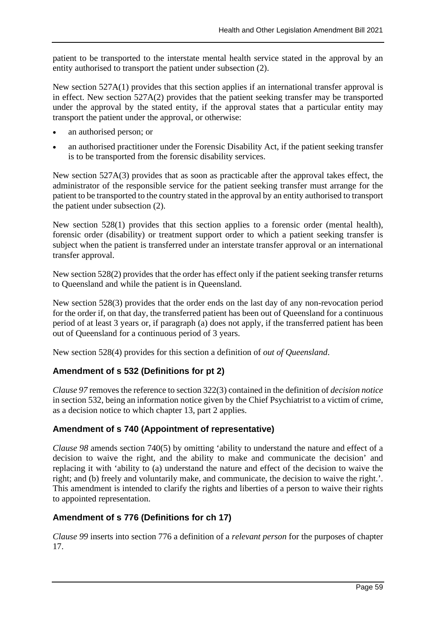patient to be transported to the interstate mental health service stated in the approval by an entity authorised to transport the patient under subsection (2).

New section 527A(1) provides that this section applies if an international transfer approval is in effect. New section 527A(2) provides that the patient seeking transfer may be transported under the approval by the stated entity, if the approval states that a particular entity may transport the patient under the approval, or otherwise:

- an authorised person; or
- an authorised practitioner under the Forensic Disability Act, if the patient seeking transfer is to be transported from the forensic disability services.

New section 527A(3) provides that as soon as practicable after the approval takes effect, the administrator of the responsible service for the patient seeking transfer must arrange for the patient to be transported to the country stated in the approval by an entity authorised to transport the patient under subsection (2).

New section 528(1) provides that this section applies to a forensic order (mental health), forensic order (disability) or treatment support order to which a patient seeking transfer is subject when the patient is transferred under an interstate transfer approval or an international transfer approval.

New section 528(2) provides that the order has effect only if the patient seeking transfer returns to Queensland and while the patient is in Queensland.

New section 528(3) provides that the order ends on the last day of any non-revocation period for the order if, on that day, the transferred patient has been out of Queensland for a continuous period of at least 3 years or, if paragraph (a) does not apply, if the transferred patient has been out of Queensland for a continuous period of 3 years.

New section 528(4) provides for this section a definition of *out of Queensland*.

## **Amendment of s 532 (Definitions for pt 2)**

*Clause 97* removes the reference to section 322(3) contained in the definition of *decision notice* in section 532, being an information notice given by the Chief Psychiatrist to a victim of crime, as a decision notice to which chapter 13, part 2 applies.

## **Amendment of s 740 (Appointment of representative)**

*Clause 98* amends section 740(5) by omitting 'ability to understand the nature and effect of a decision to waive the right, and the ability to make and communicate the decision' and replacing it with 'ability to (a) understand the nature and effect of the decision to waive the right; and (b) freely and voluntarily make, and communicate, the decision to waive the right.'. This amendment is intended to clarify the rights and liberties of a person to waive their rights to appointed representation.

## **Amendment of s 776 (Definitions for ch 17)**

*Clause 99* inserts into section 776 a definition of a *relevant person* for the purposes of chapter 17.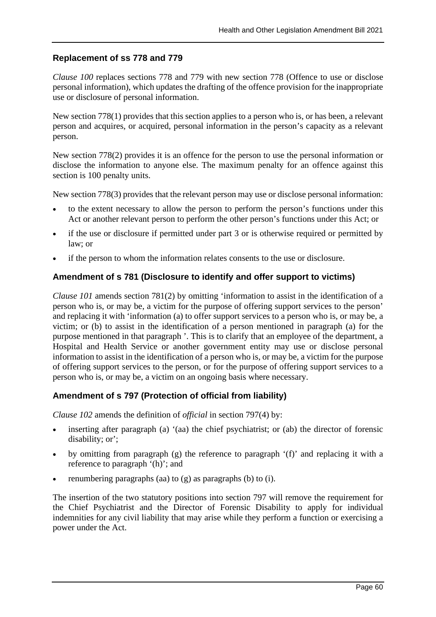## **Replacement of ss 778 and 779**

*Clause 100* replaces sections 778 and 779 with new section 778 (Offence to use or disclose personal information), which updates the drafting of the offence provision for the inappropriate use or disclosure of personal information.

New section 778(1) provides that this section applies to a person who is, or has been, a relevant person and acquires, or acquired, personal information in the person's capacity as a relevant person.

New section 778(2) provides it is an offence for the person to use the personal information or disclose the information to anyone else. The maximum penalty for an offence against this section is 100 penalty units.

New section 778(3) provides that the relevant person may use or disclose personal information:

- to the extent necessary to allow the person to perform the person's functions under this Act or another relevant person to perform the other person's functions under this Act; or
- if the use or disclosure if permitted under part 3 or is otherwise required or permitted by law; or
- if the person to whom the information relates consents to the use or disclosure.

### **Amendment of s 781 (Disclosure to identify and offer support to victims)**

*Clause 101* amends section 781(2) by omitting 'information to assist in the identification of a person who is, or may be, a victim for the purpose of offering support services to the person' and replacing it with 'information (a) to offer support services to a person who is, or may be, a victim; or (b) to assist in the identification of a person mentioned in paragraph (a) for the purpose mentioned in that paragraph '. This is to clarify that an employee of the department, a Hospital and Health Service or another government entity may use or disclose personal information to assist in the identification of a person who is, or may be, a victim for the purpose of offering support services to the person, or for the purpose of offering support services to a person who is, or may be, a victim on an ongoing basis where necessary.

### **Amendment of s 797 (Protection of official from liability)**

*Clause 102* amends the definition of *official* in section 797(4) by:

- inserting after paragraph (a) '(aa) the chief psychiatrist; or (ab) the director of forensic disability; or';
- by omitting from paragraph (g) the reference to paragraph '(f)' and replacing it with a reference to paragraph '(h)'; and
- renumbering paragraphs (aa) to  $(g)$  as paragraphs (b) to  $(i)$ .

The insertion of the two statutory positions into section 797 will remove the requirement for the Chief Psychiatrist and the Director of Forensic Disability to apply for individual indemnities for any civil liability that may arise while they perform a function or exercising a power under the Act.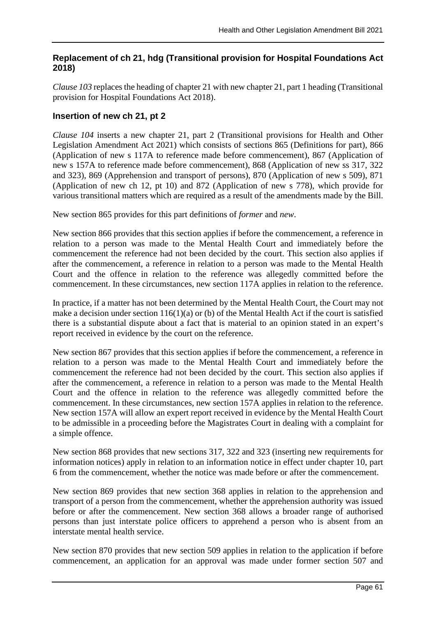## **Replacement of ch 21, hdg (Transitional provision for Hospital Foundations Act 2018)**

*Clause 103* replaces the heading of chapter 21 with new chapter 21, part 1 heading (Transitional provision for Hospital Foundations Act 2018).

## **Insertion of new ch 21, pt 2**

*Clause 104* inserts a new chapter 21, part 2 (Transitional provisions for Health and Other Legislation Amendment Act 2021) which consists of sections 865 (Definitions for part), 866 (Application of new s 117A to reference made before commencement), 867 (Application of new s 157A to reference made before commencement), 868 (Application of new ss 317, 322 and 323), 869 (Apprehension and transport of persons), 870 (Application of new s 509), 871 (Application of new ch 12, pt 10) and 872 (Application of new s 778), which provide for various transitional matters which are required as a result of the amendments made by the Bill.

New section 865 provides for this part definitions of *former* and *new*.

New section 866 provides that this section applies if before the commencement, a reference in relation to a person was made to the Mental Health Court and immediately before the commencement the reference had not been decided by the court. This section also applies if after the commencement, a reference in relation to a person was made to the Mental Health Court and the offence in relation to the reference was allegedly committed before the commencement. In these circumstances, new section 117A applies in relation to the reference.

In practice, if a matter has not been determined by the Mental Health Court, the Court may not make a decision under section 116(1)(a) or (b) of the Mental Health Act if the court is satisfied there is a substantial dispute about a fact that is material to an opinion stated in an expert's report received in evidence by the court on the reference.

New section 867 provides that this section applies if before the commencement, a reference in relation to a person was made to the Mental Health Court and immediately before the commencement the reference had not been decided by the court. This section also applies if after the commencement, a reference in relation to a person was made to the Mental Health Court and the offence in relation to the reference was allegedly committed before the commencement. In these circumstances, new section 157A applies in relation to the reference. New section 157A will allow an expert report received in evidence by the Mental Health Court to be admissible in a proceeding before the Magistrates Court in dealing with a complaint for a simple offence.

New section 868 provides that new sections 317, 322 and 323 (inserting new requirements for information notices) apply in relation to an information notice in effect under chapter 10, part 6 from the commencement, whether the notice was made before or after the commencement.

New section 869 provides that new section 368 applies in relation to the apprehension and transport of a person from the commencement, whether the apprehension authority was issued before or after the commencement. New section 368 allows a broader range of authorised persons than just interstate police officers to apprehend a person who is absent from an interstate mental health service.

New section 870 provides that new section 509 applies in relation to the application if before commencement, an application for an approval was made under former section 507 and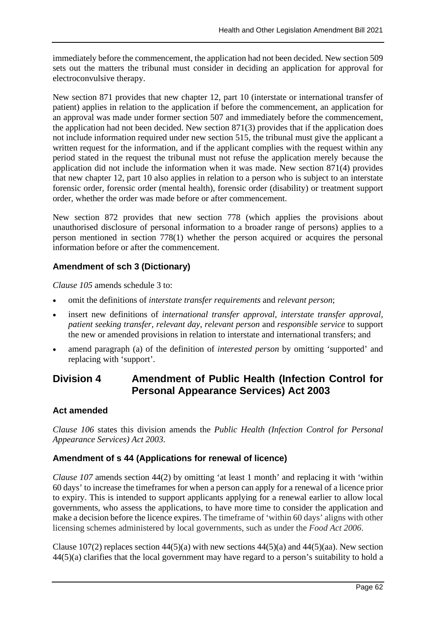immediately before the commencement, the application had not been decided. New section 509 sets out the matters the tribunal must consider in deciding an application for approval for electroconvulsive therapy.

New section 871 provides that new chapter 12, part 10 (interstate or international transfer of patient) applies in relation to the application if before the commencement, an application for an approval was made under former section 507 and immediately before the commencement, the application had not been decided. New section 871(3) provides that if the application does not include information required under new section 515, the tribunal must give the applicant a written request for the information, and if the applicant complies with the request within any period stated in the request the tribunal must not refuse the application merely because the application did not include the information when it was made. New section 871(4) provides that new chapter 12, part 10 also applies in relation to a person who is subject to an interstate forensic order, forensic order (mental health), forensic order (disability) or treatment support order, whether the order was made before or after commencement.

New section 872 provides that new section 778 (which applies the provisions about unauthorised disclosure of personal information to a broader range of persons) applies to a person mentioned in section 778(1) whether the person acquired or acquires the personal information before or after the commencement.

## **Amendment of sch 3 (Dictionary)**

*Clause 105* amends schedule 3 to:

- omit the definitions of *interstate transfer requirements* and *relevant person*;
- insert new definitions of *international transfer approval, interstate transfer approval*, *patient seeking transfer*, *relevant day*, *relevant person* and *responsible service* to support the new or amended provisions in relation to interstate and international transfers; and
- amend paragraph (a) of the definition of *interested person* by omitting 'supported' and replacing with 'support'.

## **Division 4 Amendment of Public Health (Infection Control for Personal Appearance Services) Act 2003**

## **Act amended**

*Clause 106* states this division amends the *Public Health (Infection Control for Personal Appearance Services) Act 2003*.

## **Amendment of s 44 (Applications for renewal of licence)**

*Clause 107* amends section 44(2) by omitting 'at least 1 month' and replacing it with 'within 60 days' to increase the timeframes for when a person can apply for a renewal of a licence prior to expiry. This is intended to support applicants applying for a renewal earlier to allow local governments, who assess the applications, to have more time to consider the application and make a decision before the licence expires. The timeframe of 'within 60 days' aligns with other licensing schemes administered by local governments, such as under the *Food Act 2006*.

Clause 107(2) replaces section  $44(5)(a)$  with new sections  $44(5)(a)$  and  $44(5)(aa)$ . New section 44(5)(a) clarifies that the local government may have regard to a person's suitability to hold a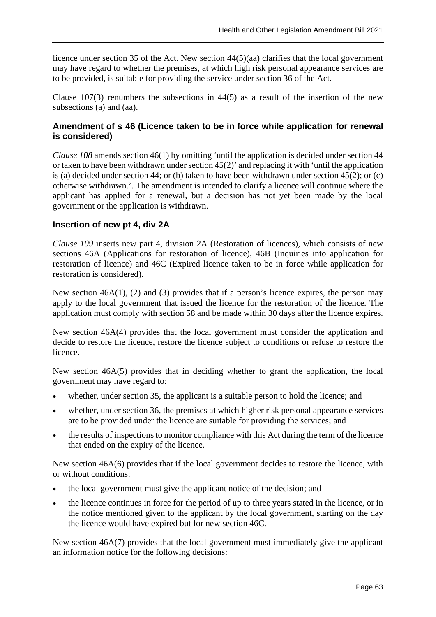licence under section 35 of the Act. New section 44(5)(aa) clarifies that the local government may have regard to whether the premises, at which high risk personal appearance services are to be provided, is suitable for providing the service under section 36 of the Act.

Clause  $107(3)$  renumbers the subsections in  $44(5)$  as a result of the insertion of the new subsections (a) and (aa).

## **Amendment of s 46 (Licence taken to be in force while application for renewal is considered)**

*Clause 108* amends section 46(1) by omitting 'until the application is decided under section 44 or taken to have been withdrawn under section 45(2)' and replacing it with 'until the application is (a) decided under section 44; or (b) taken to have been withdrawn under section 45(2); or (c) otherwise withdrawn.'. The amendment is intended to clarify a licence will continue where the applicant has applied for a renewal, but a decision has not yet been made by the local government or the application is withdrawn.

## **Insertion of new pt 4, div 2A**

*Clause 109* inserts new part 4, division 2A (Restoration of licences), which consists of new sections 46A (Applications for restoration of licence), 46B (Inquiries into application for restoration of licence) and 46C (Expired licence taken to be in force while application for restoration is considered).

New section 46A(1), (2) and (3) provides that if a person's licence expires, the person may apply to the local government that issued the licence for the restoration of the licence. The application must comply with section 58 and be made within 30 days after the licence expires.

New section 46A(4) provides that the local government must consider the application and decide to restore the licence, restore the licence subject to conditions or refuse to restore the licence.

New section 46A(5) provides that in deciding whether to grant the application, the local government may have regard to:

- whether, under section 35, the applicant is a suitable person to hold the licence; and
- whether, under section 36, the premises at which higher risk personal appearance services are to be provided under the licence are suitable for providing the services; and
- the results of inspections to monitor compliance with this Act during the term of the licence that ended on the expiry of the licence.

New section 46A(6) provides that if the local government decides to restore the licence, with or without conditions:

- the local government must give the applicant notice of the decision; and
- the licence continues in force for the period of up to three years stated in the licence, or in the notice mentioned given to the applicant by the local government, starting on the day the licence would have expired but for new section 46C.

New section 46A(7) provides that the local government must immediately give the applicant an information notice for the following decisions: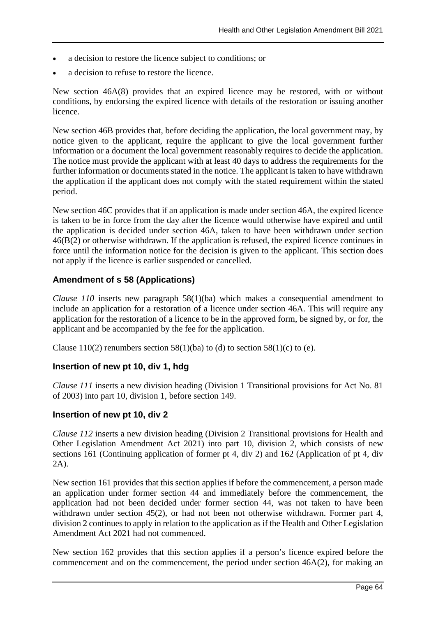- a decision to restore the licence subject to conditions; or
- a decision to refuse to restore the licence.

New section 46A(8) provides that an expired licence may be restored, with or without conditions, by endorsing the expired licence with details of the restoration or issuing another licence.

New section 46B provides that, before deciding the application, the local government may, by notice given to the applicant, require the applicant to give the local government further information or a document the local government reasonably requires to decide the application. The notice must provide the applicant with at least 40 days to address the requirements for the further information or documents stated in the notice. The applicant is taken to have withdrawn the application if the applicant does not comply with the stated requirement within the stated period.

New section 46C provides that if an application is made under section 46A, the expired licence is taken to be in force from the day after the licence would otherwise have expired and until the application is decided under section 46A, taken to have been withdrawn under section  $46(B(2))$  or otherwise withdrawn. If the application is refused, the expired licence continues in force until the information notice for the decision is given to the applicant. This section does not apply if the licence is earlier suspended or cancelled.

### **Amendment of s 58 (Applications)**

*Clause 110* inserts new paragraph 58(1)(ba) which makes a consequential amendment to include an application for a restoration of a licence under section 46A. This will require any application for the restoration of a licence to be in the approved form, be signed by, or for, the applicant and be accompanied by the fee for the application.

Clause 110(2) renumbers section 58(1)(ba) to (d) to section 58(1)(c) to (e).

### **Insertion of new pt 10, div 1, hdg**

*Clause 111* inserts a new division heading (Division 1 Transitional provisions for Act No. 81 of 2003) into part 10, division 1, before section 149.

#### **Insertion of new pt 10, div 2**

*Clause 112* inserts a new division heading (Division 2 Transitional provisions for Health and Other Legislation Amendment Act 2021) into part 10, division 2, which consists of new sections 161 (Continuing application of former pt 4, div 2) and 162 (Application of pt 4, div 2A).

New section 161 provides that this section applies if before the commencement, a person made an application under former section 44 and immediately before the commencement, the application had not been decided under former section 44, was not taken to have been withdrawn under section 45(2), or had not been not otherwise withdrawn. Former part 4, division 2 continues to apply in relation to the application as if the Health and Other Legislation Amendment Act 2021 had not commenced.

New section 162 provides that this section applies if a person's licence expired before the commencement and on the commencement, the period under section 46A(2), for making an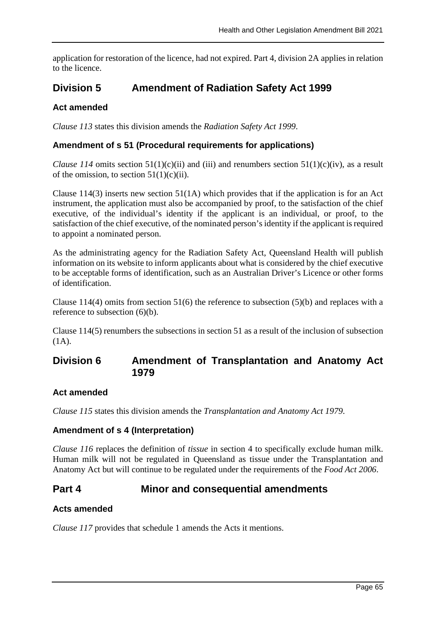application for restoration of the licence, had not expired. Part 4, division 2A applies in relation to the licence.

## **Division 5 Amendment of Radiation Safety Act 1999**

## **Act amended**

*Clause 113* states this division amends the *Radiation Safety Act 1999*.

## **Amendment of s 51 (Procedural requirements for applications)**

*Clause* 114 omits section 51(1)(c)(ii) and (iii) and renumbers section 51(1)(c)(iv), as a result of the omission, to section  $51(1)(c)(ii)$ .

Clause  $114(3)$  inserts new section  $51(1)$  which provides that if the application is for an Act instrument, the application must also be accompanied by proof, to the satisfaction of the chief executive, of the individual's identity if the applicant is an individual, or proof, to the satisfaction of the chief executive, of the nominated person's identity if the applicant is required to appoint a nominated person.

As the administrating agency for the Radiation Safety Act, Queensland Health will publish information on its website to inform applicants about what is considered by the chief executive to be acceptable forms of identification, such as an Australian Driver's Licence or other forms of identification.

Clause 114(4) omits from section 51(6) the reference to subsection (5)(b) and replaces with a reference to subsection (6)(b).

Clause 114(5) renumbers the subsections in section 51 as a result of the inclusion of subsection (1A).

## **Division 6 Amendment of Transplantation and Anatomy Act 1979**

### **Act amended**

*Clause 115* states this division amends the *Transplantation and Anatomy Act 1979*.

### **Amendment of s 4 (Interpretation)**

*Clause 116* replaces the definition of *tissue* in section 4 to specifically exclude human milk. Human milk will not be regulated in Queensland as tissue under the Transplantation and Anatomy Act but will continue to be regulated under the requirements of the *Food Act 2006*.

## **Part 4 Minor and consequential amendments**

## **Acts amended**

*Clause 117* provides that schedule 1 amends the Acts it mentions.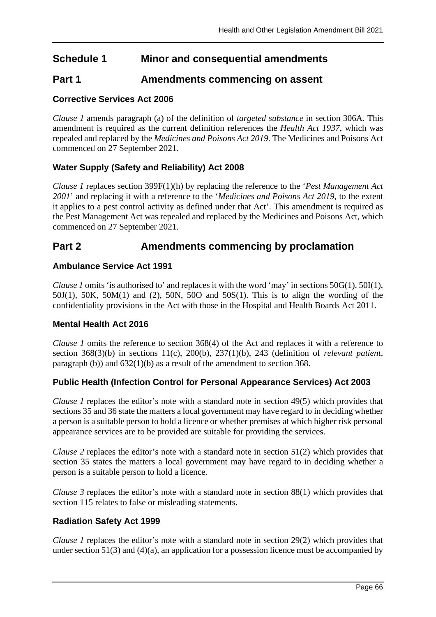## **Schedule 1 Minor and consequential amendments**

## **Part 1 Amendments commencing on assent**

## **Corrective Services Act 2006**

*Clause 1* amends paragraph (a) of the definition of *targeted substance* in section 306A. This amendment is required as the current definition references the *Health Act 1937*, which was repealed and replaced by the *Medicines and Poisons Act 2019*. The Medicines and Poisons Act commenced on 27 September 2021.

## **Water Supply (Safety and Reliability) Act 2008**

*Clause 1* replaces section 399F(1)(h) by replacing the reference to the '*Pest Management Act 2001*' and replacing it with a reference to the '*Medicines and Poisons Act 2019*, to the extent it applies to a pest control activity as defined under that Act'. This amendment is required as the Pest Management Act was repealed and replaced by the Medicines and Poisons Act, which commenced on 27 September 2021.

## **Part 2 Amendments commencing by proclamation**

### **Ambulance Service Act 1991**

*Clause 1* omits 'is authorised to' and replaces it with the word 'may' in sections 50G(1), 50I(1),  $50J(1)$ ,  $50K$ ,  $50M(1)$  and  $(2)$ ,  $50N$ ,  $50O$  and  $50S(1)$ . This is to align the wording of the confidentiality provisions in the Act with those in the Hospital and Health Boards Act 2011.

### **Mental Health Act 2016**

*Clause 1* omits the reference to section 368(4) of the Act and replaces it with a reference to section 368(3)(b) in sections 11(c), 200(b), 237(1)(b), 243 (definition of *relevant patient*, paragraph (b)) and 632(1)(b) as a result of the amendment to section 368.

### **Public Health (Infection Control for Personal Appearance Services) Act 2003**

*Clause 1* replaces the editor's note with a standard note in section 49(5) which provides that sections 35 and 36 state the matters a local government may have regard to in deciding whether a person is a suitable person to hold a licence or whether premises at which higher risk personal appearance services are to be provided are suitable for providing the services.

*Clause 2* replaces the editor's note with a standard note in section 51(2) which provides that section 35 states the matters a local government may have regard to in deciding whether a person is a suitable person to hold a licence.

*Clause 3* replaces the editor's note with a standard note in section 88(1) which provides that section 115 relates to false or misleading statements.

### **Radiation Safety Act 1999**

*Clause 1* replaces the editor's note with a standard note in section 29(2) which provides that under section 51(3) and (4)(a), an application for a possession licence must be accompanied by